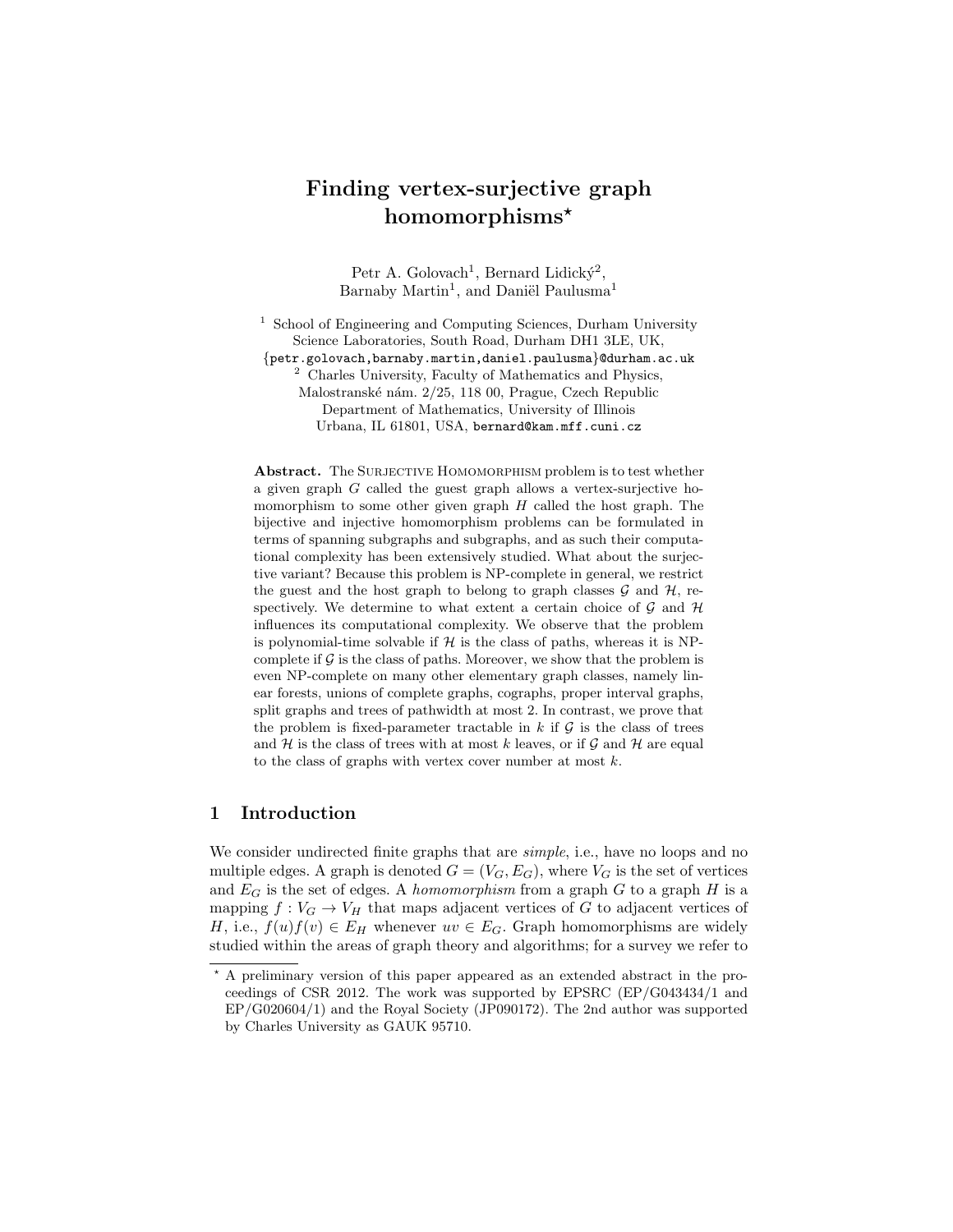# Finding vertex-surjective graph homomorphisms\*

Petr A. Golovach<sup>1</sup>, Bernard Lidicky<sup>2</sup>, Barnaby Martin<sup>1</sup>, and Daniël Paulusma<sup>1</sup>

<sup>1</sup> School of Engineering and Computing Sciences, Durham University Science Laboratories, South Road, Durham DH1 3LE, UK, {petr.golovach,barnaby.martin,daniel.paulusma}@durham.ac.uk <sup>2</sup> Charles University, Faculty of Mathematics and Physics, Malostranské nám. 2/25, 118 00, Prague, Czech Republic Department of Mathematics, University of Illinois Urbana, IL 61801, USA, bernard@kam.mff.cuni.cz

Abstract. The SURJECTIVE HOMOMORPHISM problem is to test whether a given graph G called the guest graph allows a vertex-surjective homomorphism to some other given graph  $H$  called the host graph. The bijective and injective homomorphism problems can be formulated in terms of spanning subgraphs and subgraphs, and as such their computational complexity has been extensively studied. What about the surjective variant? Because this problem is NP-complete in general, we restrict the guest and the host graph to belong to graph classes  $\mathcal G$  and  $\mathcal H$ , respectively. We determine to what extent a certain choice of  $\mathcal G$  and  $\mathcal H$ influences its computational complexity. We observe that the problem is polynomial-time solvable if  $H$  is the class of paths, whereas it is NPcomplete if  $G$  is the class of paths. Moreover, we show that the problem is even NP-complete on many other elementary graph classes, namely linear forests, unions of complete graphs, cographs, proper interval graphs, split graphs and trees of pathwidth at most 2. In contrast, we prove that the problem is fixed-parameter tractable in  $k$  if  $\mathcal G$  is the class of trees and  $H$  is the class of trees with at most k leaves, or if  $G$  and  $H$  are equal to the class of graphs with vertex cover number at most  $k$ .

# 1 Introduction

We consider undirected finite graphs that are *simple*, i.e., have no loops and no multiple edges. A graph is denoted  $G = (V_G, E_G)$ , where  $V_G$  is the set of vertices and  $E_G$  is the set of edges. A homomorphism from a graph  $G$  to a graph  $H$  is a mapping  $f: V_G \to V_H$  that maps adjacent vertices of G to adjacent vertices of H, i.e.,  $f(u)f(v) \in E_H$  whenever  $uv \in E_G$ . Graph homomorphisms are widely studied within the areas of graph theory and algorithms; for a survey we refer to

<sup>?</sup> A preliminary version of this paper appeared as an extended abstract in the proceedings of CSR 2012. The work was supported by EPSRC (EP/G043434/1 and EP/G020604/1) and the Royal Society (JP090172). The 2nd author was supported by Charles University as GAUK 95710.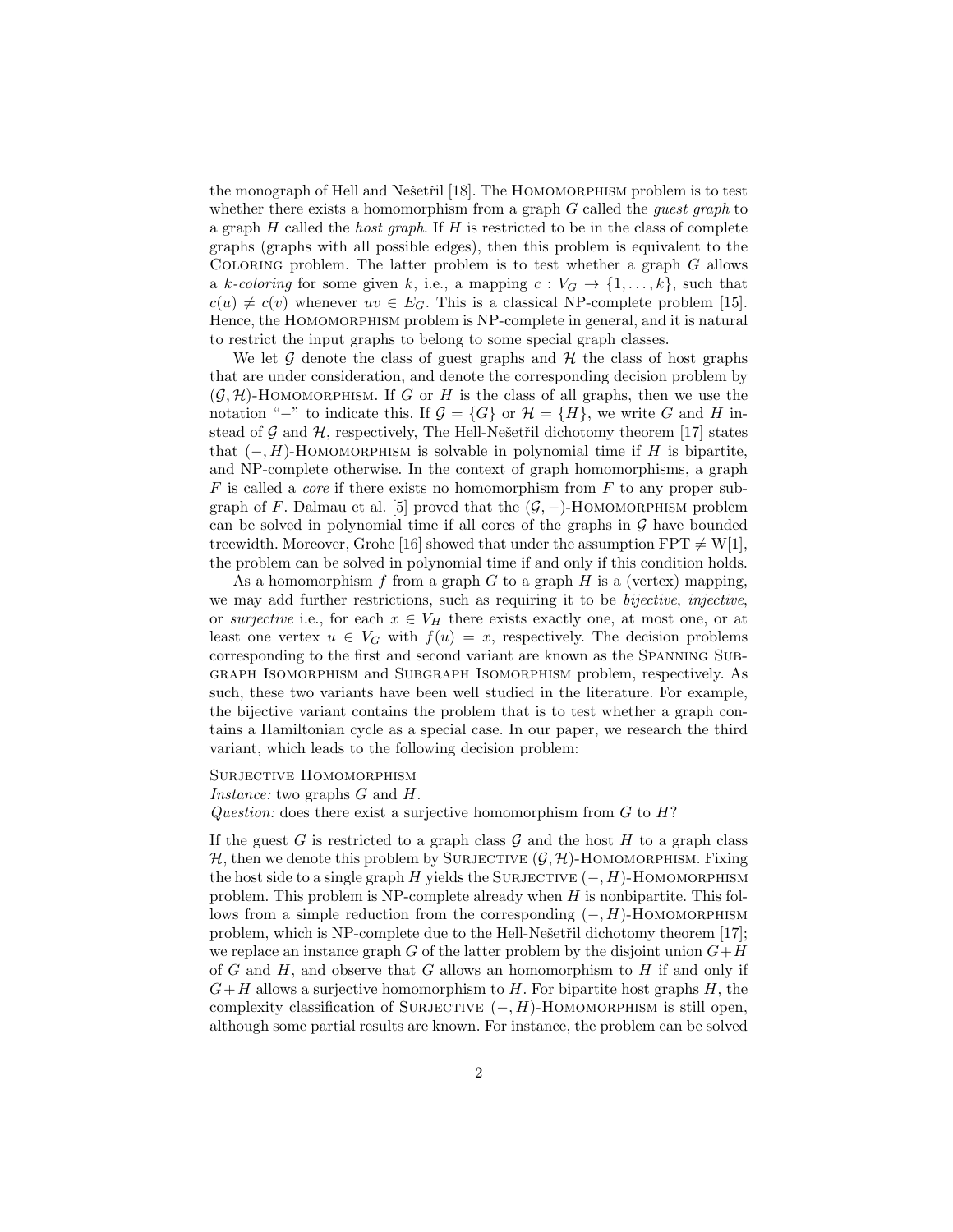the monograph of Hell and Nešetřil [18]. The HOMOMORPHISM problem is to test whether there exists a homomorphism from a graph  $G$  called the *quest graph* to a graph  $H$  called the *host graph*. If  $H$  is restricted to be in the class of complete graphs (graphs with all possible edges), then this problem is equivalent to the COLORING problem. The latter problem is to test whether a graph  $G$  allows a k-coloring for some given k, i.e., a mapping  $c: V_G \to \{1, ..., k\}$ , such that  $c(u) \neq c(v)$  whenever  $uv \in E_G$ . This is a classical NP-complete problem [15]. Hence, the HOMOMORPHISM problem is NP-complete in general, and it is natural to restrict the input graphs to belong to some special graph classes.

We let  $\mathcal G$  denote the class of guest graphs and  $\mathcal H$  the class of host graphs that are under consideration, and denote the corresponding decision problem by  $(G, \mathcal{H})$ -HOMOMORPHISM. If G or H is the class of all graphs, then we use the notation "−" to indicate this. If  $\mathcal{G} = \{G\}$  or  $\mathcal{H} = \{H\}$ , we write G and H instead of  $G$  and  $H$ , respectively, The Hell-Nešetřil dichotomy theorem [17] states that  $(-, H)$ -HOMOMORPHISM is solvable in polynomial time if H is bipartite, and NP-complete otherwise. In the context of graph homomorphisms, a graph  $F$  is called a *core* if there exists no homomorphism from  $F$  to any proper subgraph of F. Dalmau et al. [5] proved that the  $(G, -)$ -HOMOMORPHISM problem can be solved in polynomial time if all cores of the graphs in  $\mathcal G$  have bounded treewidth. Moreover, Grohe [16] showed that under the assumption  $FPT \neq W[1]$ , the problem can be solved in polynomial time if and only if this condition holds.

As a homomorphism  $f$  from a graph  $G$  to a graph  $H$  is a (vertex) mapping, we may add further restrictions, such as requiring it to be *bijective*, *injective*, or surjective i.e., for each  $x \in V_H$  there exists exactly one, at most one, or at least one vertex  $u \in V_G$  with  $f(u) = x$ , respectively. The decision problems corresponding to the first and second variant are known as the Spanning Subgraph Isomorphism and Subgraph Isomorphism problem, respectively. As such, these two variants have been well studied in the literature. For example, the bijective variant contains the problem that is to test whether a graph contains a Hamiltonian cycle as a special case. In our paper, we research the third variant, which leads to the following decision problem:

#### SURJECTIVE HOMOMORPHISM

#### Instance: two graphs G and H.

Question: does there exist a surjective homomorphism from  $G$  to  $H$ ?

If the guest G is restricted to a graph class  $\mathcal G$  and the host H to a graph class  $H$ , then we denote this problem by SURJECTIVE  $(G, H)$ -HOMOMORPHISM. Fixing the host side to a single graph  $H$  yields the SURJECTIVE ( $-, H$ )-HOMOMORPHISM problem. This problem is  $NP$ -complete already when  $H$  is nonbipartite. This follows from a simple reduction from the corresponding  $(-, H)$ -HOMOMORPHISM problem, which is NP-complete due to the Hell-Nešetřil dichotomy theorem [17]; we replace an instance graph G of the latter problem by the disjoint union  $G+H$ of G and H, and observe that G allows an homomorphism to H if and only if  $G+H$  allows a surjective homomorphism to H. For bipartite host graphs H, the complexity classification of SURJECTIVE  $(-, H)$ -HOMOMORPHISM is still open, although some partial results are known. For instance, the problem can be solved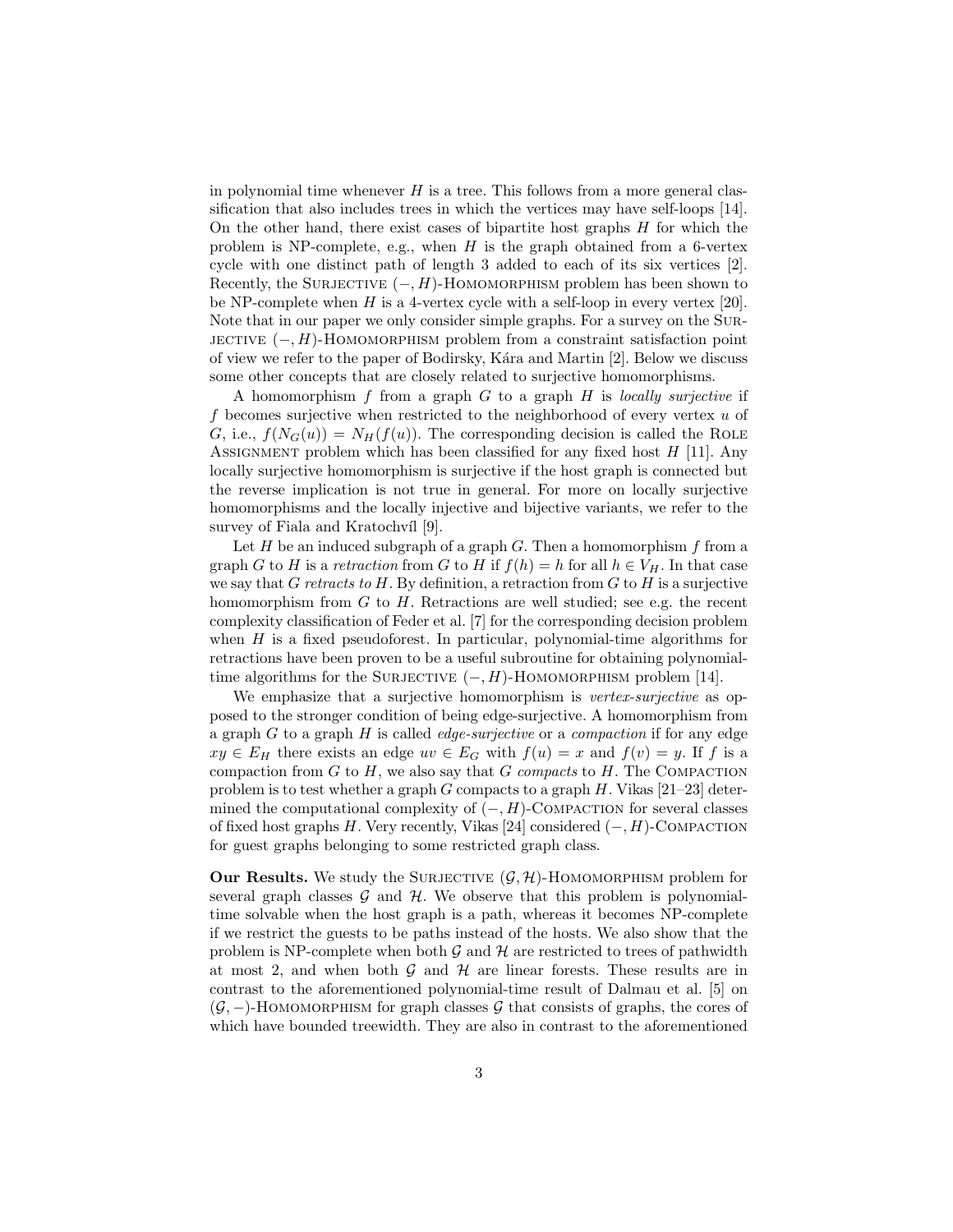in polynomial time whenever  $H$  is a tree. This follows from a more general classification that also includes trees in which the vertices may have self-loops [14]. On the other hand, there exist cases of bipartite host graphs  $H$  for which the problem is NP-complete, e.g., when  $H$  is the graph obtained from a 6-vertex cycle with one distinct path of length 3 added to each of its six vertices [2]. Recently, the SURJECTIVE  $(-, H)$ -HOMOMORPHISM problem has been shown to be NP-complete when H is a 4-vertex cycle with a self-loop in every vertex  $[20]$ . Note that in our paper we only consider simple graphs. For a survey on the Sur-JECTIVE  $(-, H)$ -HOMOMORPHISM problem from a constraint satisfaction point of view we refer to the paper of Bodirsky, Kára and Martin [2]. Below we discuss some other concepts that are closely related to surjective homomorphisms.

A homomorphism f from a graph  $G$  to a graph  $H$  is locally surjective if f becomes surjective when restricted to the neighborhood of every vertex  $u$  of G, i.e.,  $f(N_G(u)) = N_H(f(u))$ . The corresponding decision is called the ROLE ASSIGNMENT problem which has been classified for any fixed host  $H$  [11]. Any locally surjective homomorphism is surjective if the host graph is connected but the reverse implication is not true in general. For more on locally surjective homomorphisms and the locally injective and bijective variants, we refer to the survey of Fiala and Kratochvíl [9].

Let  $H$  be an induced subgraph of a graph  $G$ . Then a homomorphism  $f$  from a graph G to H is a retraction from G to H if  $f(h) = h$  for all  $h \in V_H$ . In that case we say that G retracts to H. By definition, a retraction from  $G$  to  $H$  is a surjective homomorphism from  $G$  to  $H$ . Retractions are well studied; see e.g. the recent complexity classification of Feder et al. [7] for the corresponding decision problem when  $H$  is a fixed pseudoforest. In particular, polynomial-time algorithms for retractions have been proven to be a useful subroutine for obtaining polynomialtime algorithms for the SURJECTIVE  $(-, H)$ -HOMOMORPHISM problem [14].

We emphasize that a surjective homomorphism is *vertex-surjective* as opposed to the stronger condition of being edge-surjective. A homomorphism from a graph  $G$  to a graph  $H$  is called *edge-surjective* or a *compaction* if for any edge  $xy \in E_H$  there exists an edge  $uv \in E_G$  with  $f(u) = x$  and  $f(v) = y$ . If f is a compaction from  $G$  to  $H$ , we also say that  $G$  compacts to  $H$ . The COMPACTION problem is to test whether a graph G compacts to a graph  $H$ . Vikas [21–23] determined the computational complexity of  $(-, H)$ -COMPACTION for several classes of fixed host graphs H. Very recently, Vikas [24] considered  $(-, H)$ -COMPACTION for guest graphs belonging to some restricted graph class.

**Our Results.** We study the SURJECTIVE  $(G, \mathcal{H})$ -HOMOMORPHISM problem for several graph classes  $\mathcal G$  and  $\mathcal H$ . We observe that this problem is polynomialtime solvable when the host graph is a path, whereas it becomes NP-complete if we restrict the guests to be paths instead of the hosts. We also show that the problem is NP-complete when both  $\mathcal G$  and  $\mathcal H$  are restricted to trees of pathwidth at most 2, and when both  $G$  and  $H$  are linear forests. These results are in contrast to the aforementioned polynomial-time result of Dalmau et al. [5] on  $(\mathcal{G},-)$ -HOMOMORPHISM for graph classes  $\mathcal G$  that consists of graphs, the cores of which have bounded treewidth. They are also in contrast to the aforementioned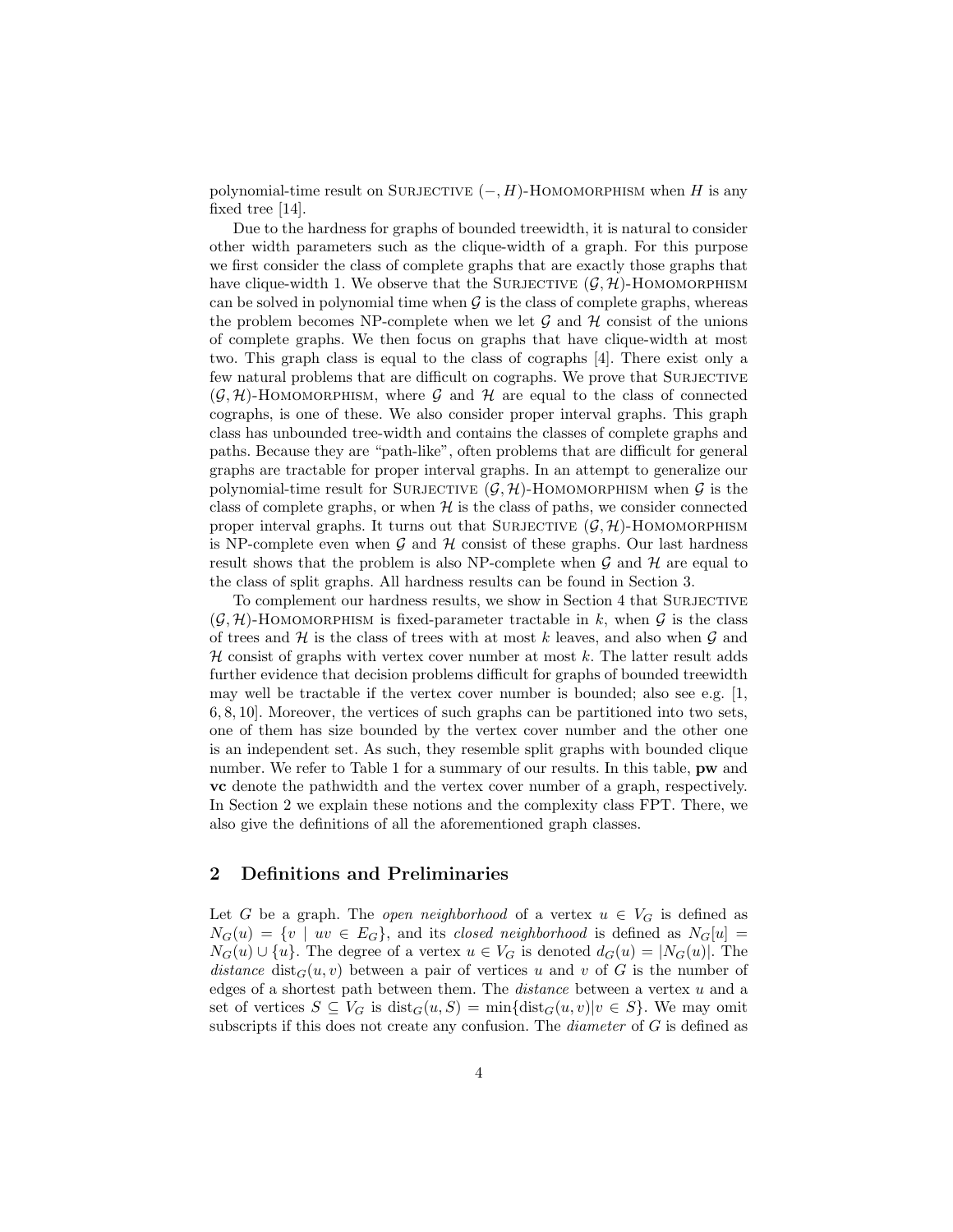polynomial-time result on SURJECTIVE  $(-, H)$ -HOMOMORPHISM when H is any fixed tree [14].

Due to the hardness for graphs of bounded treewidth, it is natural to consider other width parameters such as the clique-width of a graph. For this purpose we first consider the class of complete graphs that are exactly those graphs that have clique-width 1. We observe that the SURJECTIVE  $(G, \mathcal{H})$ -HOMOMORPHISM can be solved in polynomial time when  $\mathcal G$  is the class of complete graphs, whereas the problem becomes NP-complete when we let  $\mathcal G$  and  $\mathcal H$  consist of the unions of complete graphs. We then focus on graphs that have clique-width at most two. This graph class is equal to the class of cographs [4]. There exist only a few natural problems that are difficult on cographs. We prove that SURJECTIVE  $(\mathcal{G}, \mathcal{H})$ -HOMOMORPHISM, where  $\mathcal G$  and  $\mathcal H$  are equal to the class of connected cographs, is one of these. We also consider proper interval graphs. This graph class has unbounded tree-width and contains the classes of complete graphs and paths. Because they are "path-like", often problems that are difficult for general graphs are tractable for proper interval graphs. In an attempt to generalize our polynomial-time result for SURJECTIVE  $(G, \mathcal{H})$ -HOMOMORPHISM when G is the class of complete graphs, or when  $H$  is the class of paths, we consider connected proper interval graphs. It turns out that SURJECTIVE  $(G, H)$ -HOMOMORPHISM is NP-complete even when  $\mathcal G$  and  $\mathcal H$  consist of these graphs. Our last hardness result shows that the problem is also NP-complete when  $\mathcal G$  and  $\mathcal H$  are equal to the class of split graphs. All hardness results can be found in Section 3.

To complement our hardness results, we show in Section 4 that SURJECTIVE  $(\mathcal{G}, \mathcal{H})$ -HOMOMORPHISM is fixed-parameter tractable in k, when  $\mathcal{G}$  is the class of trees and  $H$  is the class of trees with at most k leaves, and also when  $G$  and  $H$  consist of graphs with vertex cover number at most k. The latter result adds further evidence that decision problems difficult for graphs of bounded treewidth may well be tractable if the vertex cover number is bounded; also see e.g. [1, 6, 8, 10]. Moreover, the vertices of such graphs can be partitioned into two sets, one of them has size bounded by the vertex cover number and the other one is an independent set. As such, they resemble split graphs with bounded clique number. We refer to Table 1 for a summary of our results. In this table, **pw** and vc denote the pathwidth and the vertex cover number of a graph, respectively. In Section 2 we explain these notions and the complexity class FPT. There, we also give the definitions of all the aforementioned graph classes.

## 2 Definitions and Preliminaries

Let G be a graph. The open neighborhood of a vertex  $u \in V_G$  is defined as  $N_G(u) = \{v \mid uv \in E_G\}$ , and its closed neighborhood is defined as  $N_G[u] =$  $N_G(u) \cup \{u\}$ . The degree of a vertex  $u \in V_G$  is denoted  $d_G(u) = |N_G(u)|$ . The distance  $dist_G(u, v)$  between a pair of vertices u and v of G is the number of edges of a shortest path between them. The distance between a vertex u and a set of vertices  $S \subseteq V_G$  is  $dist_G(u, S) = min{dist_G(u, v)|v \in S}$ . We may omit subscripts if this does not create any confusion. The *diameter* of  $G$  is defined as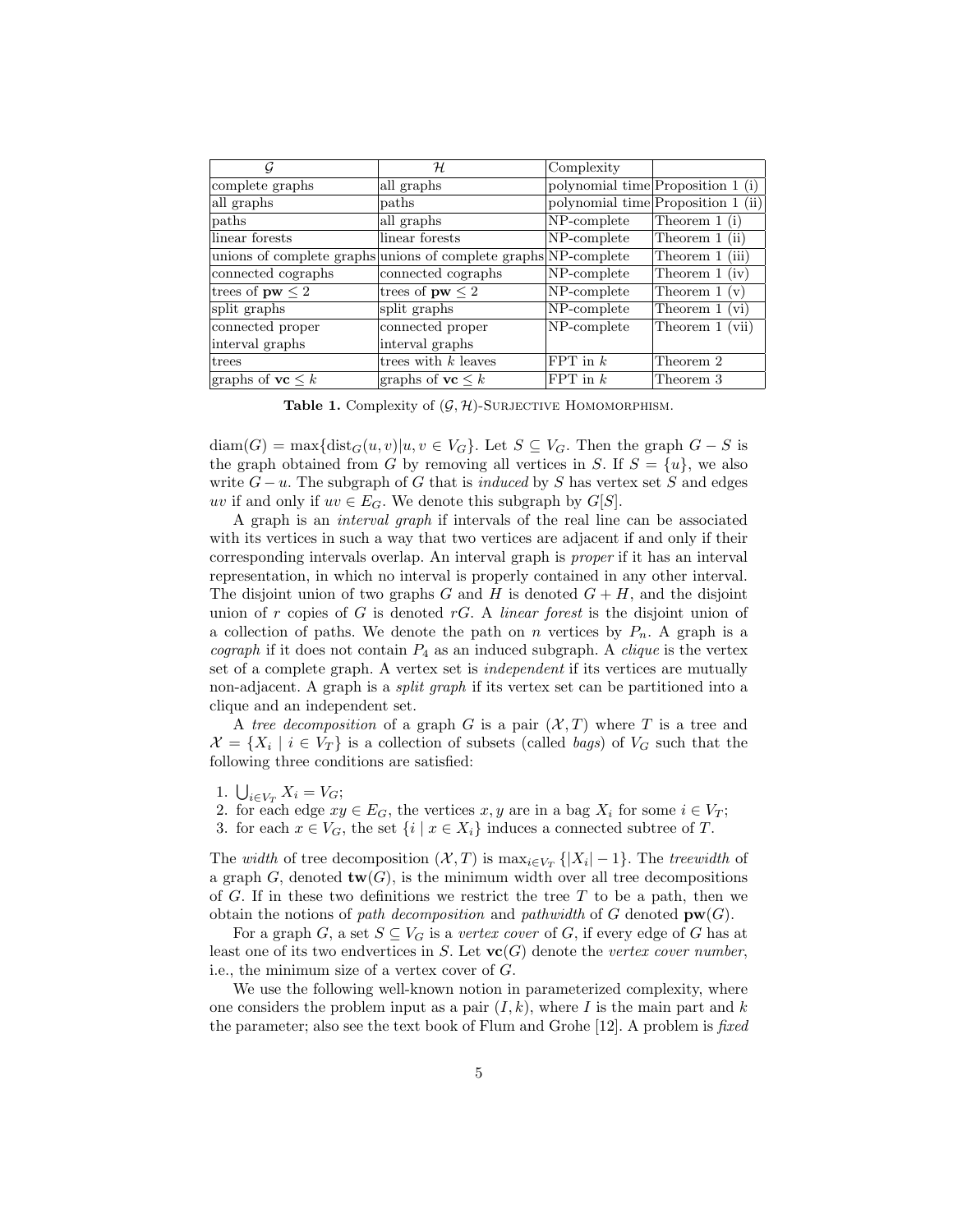| G                              | H                                                               | Complexity  |                                    |
|--------------------------------|-----------------------------------------------------------------|-------------|------------------------------------|
| complete graphs                | all graphs                                                      |             | polynomial time Proposition 1 (i)  |
| all graphs                     | paths                                                           |             | polynomial time Proposition 1 (ii) |
| paths                          | all graphs                                                      | NP-complete | Theorem $1(i)$                     |
| linear forests                 | linear forests                                                  | NP-complete | Theorem $1$ (ii)                   |
|                                | unions of complete graphs unions of complete graphs NP-complete |             | Theorem 1 (iii)                    |
| connected cographs             | connected cographs                                              | NP-complete | Theorem $1$ (iv)                   |
| trees of $pw \leq 2$           | trees of $pw \leq 2$                                            | NP-complete | Theorem $1 (v)$                    |
| split graphs                   | split graphs                                                    | NP-complete | Theorem 1 (vi)                     |
| connected proper               | connected proper                                                | NP-complete | Theorem 1 (vii)                    |
| interval graphs                | interval graphs                                                 |             |                                    |
| trees                          | trees with $k$ leaves                                           | FPT in $k$  | Theorem 2                          |
| graphs of $\mathbf{vc} \leq k$ | graphs of $\mathbf{vc} \leq k$                                  | FPT in $k$  | Theorem 3                          |

**Table 1.** Complexity of  $(\mathcal{G}, \mathcal{H})$ -SURJECTIVE HOMOMORPHISM.

 $diam(G) = max\{dist_G(u, v)|u, v \in V_G\}$ . Let  $S \subseteq V_G$ . Then the graph  $G - S$  is the graph obtained from G by removing all vertices in S. If  $S = \{u\}$ , we also write  $G - u$ . The subgraph of G that is *induced* by S has vertex set S and edges uv if and only if  $uv \in E_G$ . We denote this subgraph by  $G[S]$ .

A graph is an interval graph if intervals of the real line can be associated with its vertices in such a way that two vertices are adjacent if and only if their corresponding intervals overlap. An interval graph is proper if it has an interval representation, in which no interval is properly contained in any other interval. The disjoint union of two graphs G and H is denoted  $G + H$ , and the disjoint union of r copies of G is denoted  $rG$ . A *linear forest* is the disjoint union of a collection of paths. We denote the path on n vertices by  $P_n$ . A graph is a cograph if it does not contain  $P_4$  as an induced subgraph. A *clique* is the vertex set of a complete graph. A vertex set is independent if its vertices are mutually non-adjacent. A graph is a split graph if its vertex set can be partitioned into a clique and an independent set.

A tree decomposition of a graph G is a pair  $(\mathcal{X}, T)$  where T is a tree and  $\mathcal{X} = \{X_i \mid i \in V_T\}$  is a collection of subsets (called *bags*) of  $V_G$  such that the following three conditions are satisfied:

- 1.  $\bigcup_{i \in V_T} X_i = V_G;$
- 2. for each edge  $xy \in E_G$ , the vertices  $x, y$  are in a bag  $X_i$  for some  $i \in V_T$ ;
- 3. for each  $x \in V_G$ , the set  $\{i \mid x \in X_i\}$  induces a connected subtree of T.

The *width* of tree decomposition  $(\mathcal{X}, T)$  is  $\max_{i \in V_T} \{|X_i| - 1\}$ . The treewidth of a graph G, denoted  $\text{tw}(G)$ , is the minimum width over all tree decompositions of G. If in these two definitions we restrict the tree  $T$  to be a path, then we obtain the notions of path decomposition and pathwidth of G denoted  $\mathbf{pw}(G)$ .

For a graph G, a set  $S \subseteq V_G$  is a vertex cover of G, if every edge of G has at least one of its two endvertices in S. Let  $\mathbf{vc}(G)$  denote the vertex cover number, i.e., the minimum size of a vertex cover of G.

We use the following well-known notion in parameterized complexity, where one considers the problem input as a pair  $(I, k)$ , where I is the main part and k the parameter; also see the text book of Flum and Grohe [12]. A problem is fixed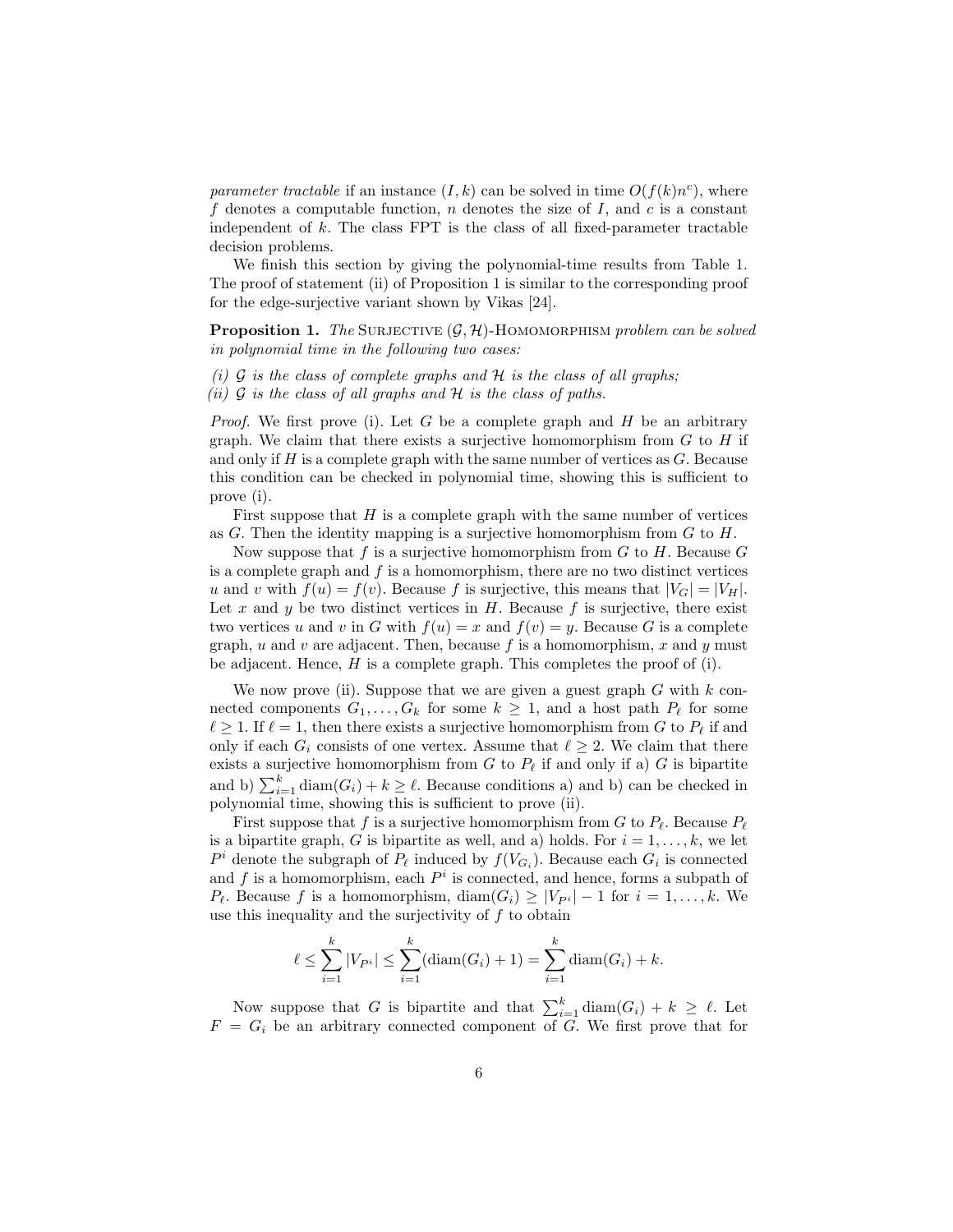parameter tractable if an instance  $(I, k)$  can be solved in time  $O(f(k)n^c)$ , where f denotes a computable function, n denotes the size of I, and c is a constant independent of  $k$ . The class  $FPT$  is the class of all fixed-parameter tractable decision problems.

We finish this section by giving the polynomial-time results from Table 1. The proof of statement (ii) of Proposition 1 is similar to the corresponding proof for the edge-surjective variant shown by Vikas [24].

**Proposition 1.** The SURJECTIVE  $(G, \mathcal{H})$ -HOMOMORPHISM problem can be solved in polynomial time in the following two cases:

- (i)  $\mathcal G$  is the class of complete graphs and  $\mathcal H$  is the class of all graphs;
- (ii)  $\mathcal G$  is the class of all graphs and  $\mathcal H$  is the class of paths.

*Proof.* We first prove (i). Let G be a complete graph and H be an arbitrary graph. We claim that there exists a surjective homomorphism from  $G$  to  $H$  if and only if  $H$  is a complete graph with the same number of vertices as  $G$ . Because this condition can be checked in polynomial time, showing this is sufficient to prove (i).

First suppose that  $H$  is a complete graph with the same number of vertices as  $G$ . Then the identity mapping is a surjective homomorphism from  $G$  to  $H$ .

Now suppose that f is a surjective homomorphism from  $G$  to  $H$ . Because  $G$ is a complete graph and  $f$  is a homomorphism, there are no two distinct vertices u and v with  $f(u) = f(v)$ . Because f is surjective, this means that  $|V_G| = |V_H|$ . Let x and y be two distinct vertices in  $H$ . Because f is surjective, there exist two vertices u and v in G with  $f(u) = x$  and  $f(v) = y$ . Because G is a complete graph, u and v are adjacent. Then, because f is a homomorphism, x and y must be adjacent. Hence,  $H$  is a complete graph. This completes the proof of (i).

We now prove (ii). Suppose that we are given a guest graph  $G$  with  $k$  connected components  $G_1, \ldots, G_k$  for some  $k \geq 1$ , and a host path  $P_\ell$  for some  $\ell \geq 1$ . If  $\ell = 1$ , then there exists a surjective homomorphism from G to  $P_{\ell}$  if and only if each  $G_i$  consists of one vertex. Assume that  $\ell \geq 2$ . We claim that there exists a surjective homomorphism from G to  $P_\ell$  if and only if a) G is bipartite and b)  $\sum_{i=1}^{k} \text{diam}(G_i) + k \geq \ell$ . Because conditions a) and b) can be checked in polynomial time, showing this is sufficient to prove (ii).

First suppose that f is a surjective homomorphism from G to  $P_\ell$ . Because  $P_\ell$ is a bipartite graph, G is bipartite as well, and a) holds. For  $i = 1, \ldots, k$ , we let  $P^i$  denote the subgraph of  $P_\ell$  induced by  $f(V_{G_i})$ . Because each  $G_i$  is connected and f is a homomorphism, each  $P^i$  is connected, and hence, forms a subpath of  $P_{\ell}$ . Because f is a homomorphism, diam $(G_i) \geq |V_{P_i}| - 1$  for  $i = 1, ..., k$ . We use this inequality and the surjectivity of  $f$  to obtain

$$
\ell \leq \sum_{i=1}^{k} |V_{P^i}| \leq \sum_{i=1}^{k} (\text{diam}(G_i) + 1) = \sum_{i=1}^{k} \text{diam}(G_i) + k.
$$

Now suppose that G is bipartite and that  $\sum_{i=1}^{k} \text{diam}(G_i) + k \geq \ell$ . Let  $F = G_i$  be an arbitrary connected component of G. We first prove that for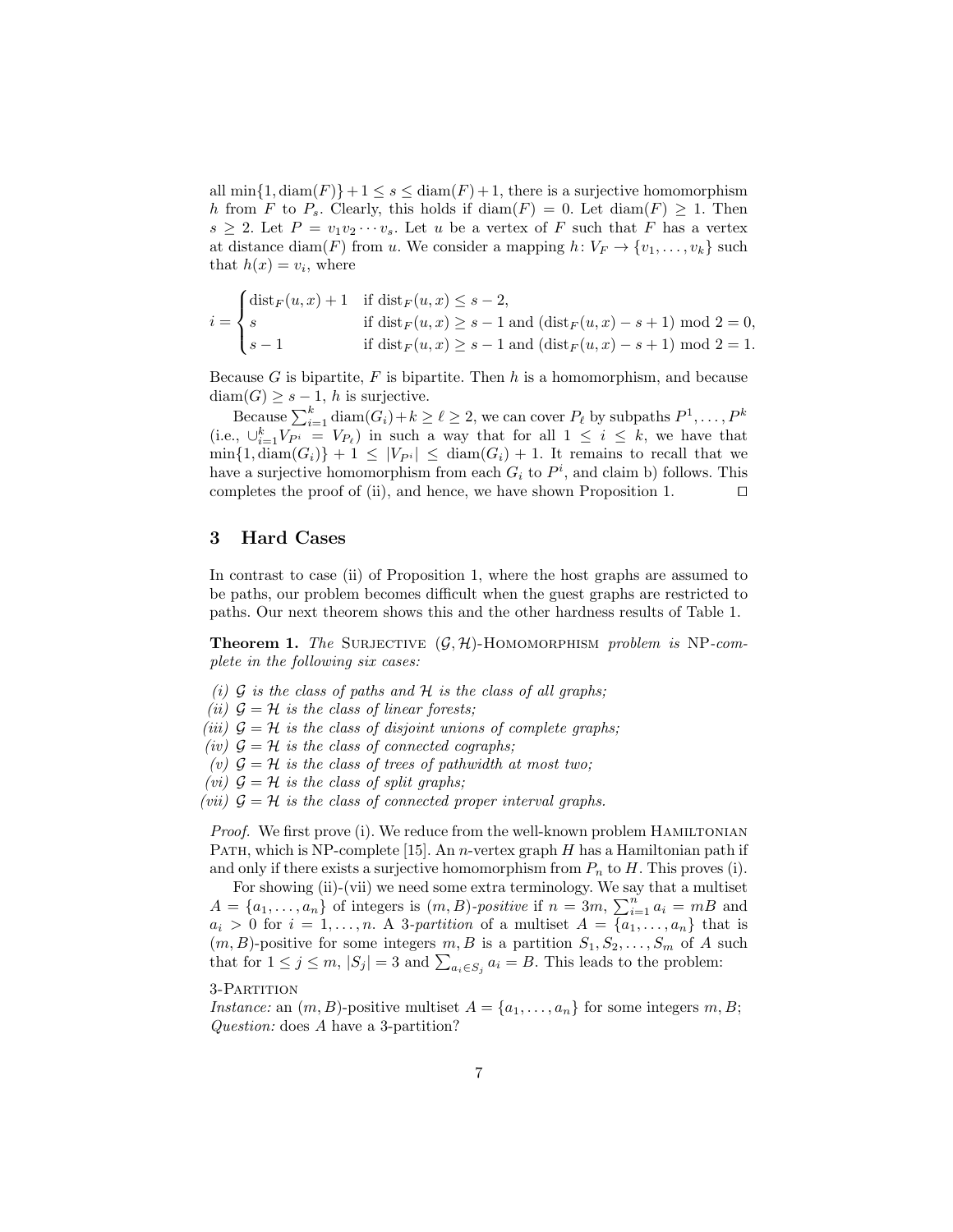all  $\min\{1, \text{diam}(F)\}+1 \leq s \leq \text{diam}(F)+1$ , there is a surjective homomorphism h from F to  $P_s$ . Clearly, this holds if  $\text{diam}(F) = 0$ . Let  $\text{diam}(F) \geq 1$ . Then  $s \geq 2$ . Let  $P = v_1v_2\cdots v_s$ . Let u be a vertex of F such that F has a vertex at distance diam(F) from u. We consider a mapping  $h: V_F \to \{v_1, \ldots, v_k\}$  such that  $h(x) = v_i$ , where

$$
i = \begin{cases} \text{dist}_F(u, x) + 1 & \text{if } \text{dist}_F(u, x) \le s - 2, \\ s & \text{if } \text{dist}_F(u, x) \ge s - 1 \text{ and } (\text{dist}_F(u, x) - s + 1) \text{ mod } 2 = 0, \\ s - 1 & \text{if } \text{dist}_F(u, x) \ge s - 1 \text{ and } (\text{dist}_F(u, x) - s + 1) \text{ mod } 2 = 1. \end{cases}
$$

Because  $G$  is bipartite,  $F$  is bipartite. Then  $h$  is a homomorphism, and because  $diam(G) \geq s-1$ , h is surjective.

Because  $\sum_{i=1}^k \text{diam}(G_i) + k \geq \ell \geq 2$ , we can cover  $P_\ell$  by subpaths  $P^1, \ldots, P^k$ (i.e.,  $\bigcup_{i=1}^k V_{P^i} = V_{P_\ell}$ ) in such a way that for all  $1 \leq i \leq k$ , we have that  $\min\{1, \text{diam}(G_i)\} + 1 \leq |V_{P_i}| \leq \text{diam}(G_i) + 1$ . It remains to recall that we have a surjective homomorphism from each  $G_i$  to  $P^i$ , and claim b) follows. This completes the proof of (ii), and hence, we have shown Proposition 1.  $\Box$ 

# 3 Hard Cases

In contrast to case (ii) of Proposition 1, where the host graphs are assumed to be paths, our problem becomes difficult when the guest graphs are restricted to paths. Our next theorem shows this and the other hardness results of Table 1.

**Theorem 1.** The SURJECTIVE  $(G, \mathcal{H})$ -HOMOMORPHISM problem is NP-complete in the following six cases:

- (i)  $G$  is the class of paths and  $H$  is the class of all graphs;
- (ii)  $\mathcal{G} = \mathcal{H}$  is the class of linear forests;
- (iii)  $\mathcal{G} = \mathcal{H}$  is the class of disjoint unions of complete graphs;
- (iv)  $\mathcal{G} = \mathcal{H}$  is the class of connected cographs;
- (v)  $\mathcal{G} = \mathcal{H}$  is the class of trees of pathwidth at most two;
- (vi)  $\mathcal{G} = \mathcal{H}$  is the class of split graphs;
- (vii)  $G = H$  is the class of connected proper interval graphs.

*Proof.* We first prove (i). We reduce from the well-known problem HAMILTONIAN PATH, which is NP-complete [15]. An *n*-vertex graph  $H$  has a Hamiltonian path if and only if there exists a surjective homomorphism from  $P_n$  to H. This proves (i).

For showing (ii)-(vii) we need some extra terminology. We say that a multiset  $A = \{a_1, \ldots, a_n\}$  of integers is  $(m, B)$ -positive if  $n = 3m$ ,  $\sum_{i=1}^{n} a_i = mB$  and  $a_i > 0$  for  $i = 1, \ldots, n$ . A 3-partition of a multiset  $A = \{a_1, \ldots, a_n\}$  that is  $(m, B)$ -positive for some integers  $m, B$  is a partition  $S_1, S_2, \ldots, S_m$  of A such that for  $1 \leq j \leq m$ ,  $|S_j| = 3$  and  $\sum_{a_i \in S_j} a_i = B$ . This leads to the problem:

#### 3-Partition

Instance: an  $(m, B)$ -positive multiset  $A = \{a_1, \ldots, a_n\}$  for some integers  $m, B$ ; Question: does A have a 3-partition?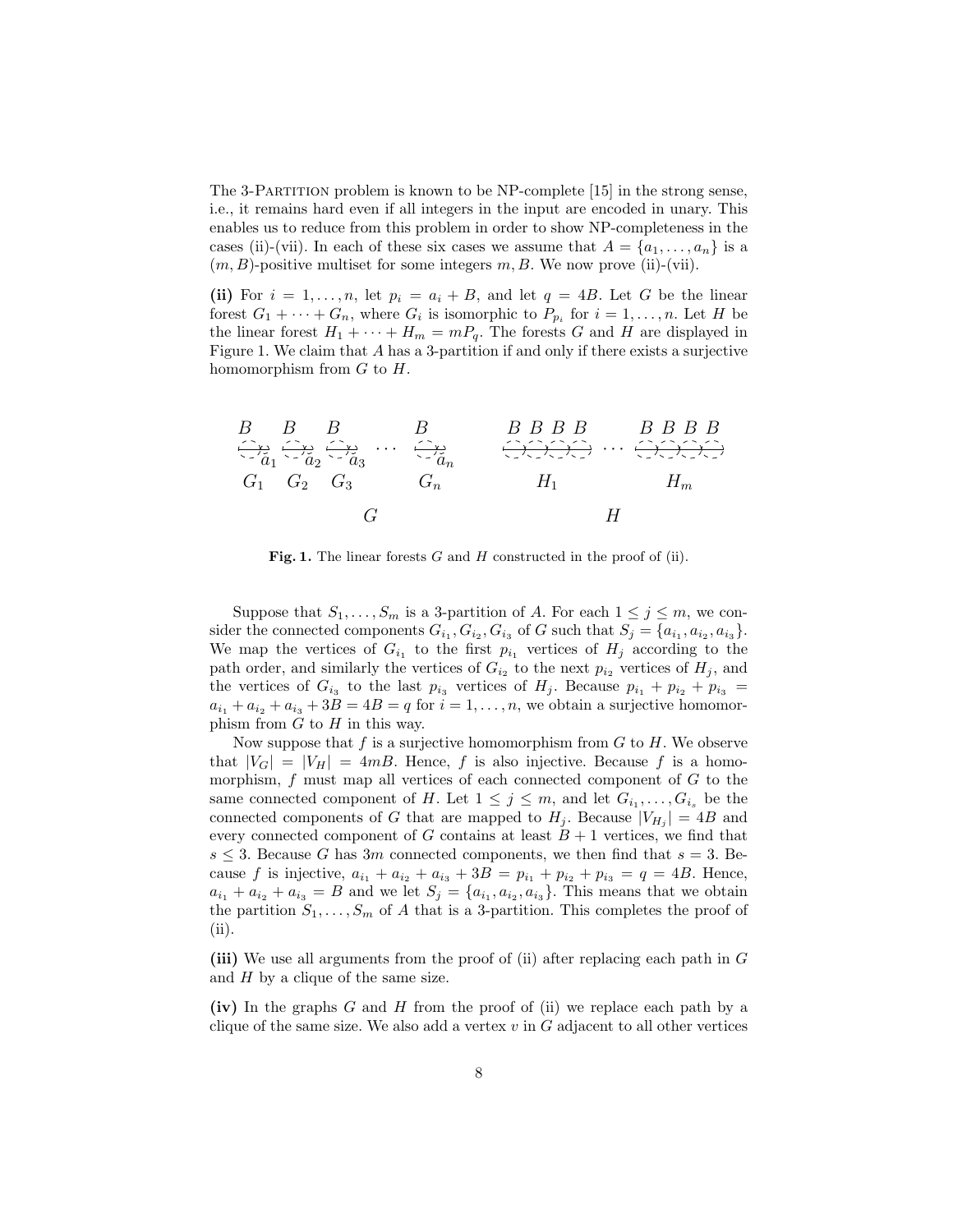The 3-Partition problem is known to be NP-complete [15] in the strong sense, i.e., it remains hard even if all integers in the input are encoded in unary. This enables us to reduce from this problem in order to show NP-completeness in the cases (ii)-(vii). In each of these six cases we assume that  $A = \{a_1, \ldots, a_n\}$  is a  $(m, B)$ -positive multiset for some integers m, B. We now prove (ii)-(vii).

(ii) For  $i = 1, \ldots, n$ , let  $p_i = a_i + B$ , and let  $q = 4B$ . Let G be the linear forest  $G_1 + \cdots + G_n$ , where  $G_i$  is isomorphic to  $P_{p_i}$  for  $i = 1, \ldots, n$ . Let H be the linear forest  $H_1 + \cdots + H_m = mP_q$ . The forests G and H are displayed in Figure 1. We claim that A has a 3-partition if and only if there exists a surjective homomorphism from  $G$  to  $H$ .



Fig. 1. The linear forests  $G$  and  $H$  constructed in the proof of (ii).

Suppose that  $S_1, \ldots, S_m$  is a 3-partition of A. For each  $1 \leq j \leq m$ , we consider the connected components  $G_{i_1}, G_{i_2}, G_{i_3}$  of G such that  $S_j = \{a_{i_1}, a_{i_2}, a_{i_3}\}.$ We map the vertices of  $G_{i_1}$  to the first  $p_{i_1}$  vertices of  $H_j$  according to the path order, and similarly the vertices of  $G_{i_2}$  to the next  $p_{i_2}$  vertices of  $H_j$ , and the vertices of  $G_{i_3}$  to the last  $p_{i_3}$  vertices of  $H_j$ . Because  $p_{i_1} + p_{i_2} + p_{i_3} =$  $a_{i_1} + a_{i_2} + a_{i_3} + 3B = 4B = q$  for  $i = 1, \ldots, n$ , we obtain a surjective homomorphism from  $G$  to  $H$  in this way.

Now suppose that  $f$  is a surjective homomorphism from  $G$  to  $H$ . We observe that  $|V_G| = |V_H| = 4mB$ . Hence, f is also injective. Because f is a homomorphism,  $f$  must map all vertices of each connected component of  $G$  to the same connected component of H. Let  $1 \leq j \leq m$ , and let  $G_{i_1}, \ldots, G_{i_s}$  be the connected components of G that are mapped to  $H_j$ . Because  $|V_{H_j}| = 4B$  and every connected component of G contains at least  $B + 1$  vertices, we find that  $s \leq 3$ . Because G has 3m connected components, we then find that  $s = 3$ . Because f is injective,  $a_{i_1} + a_{i_2} + a_{i_3} + 3B = p_{i_1} + p_{i_2} + p_{i_3} = q = 4B$ . Hence,  $a_{i_1} + a_{i_2} + a_{i_3} = B$  and we let  $S_j = \{a_{i_1}, a_{i_2}, a_{i_3}\}\.$  This means that we obtain the partition  $S_1, \ldots, S_m$  of A that is a 3-partition. This completes the proof of (ii).

(iii) We use all arguments from the proof of (ii) after replacing each path in G and  $H$  by a clique of the same size.

(iv) In the graphs G and H from the proof of (ii) we replace each path by a clique of the same size. We also add a vertex  $v$  in  $G$  adjacent to all other vertices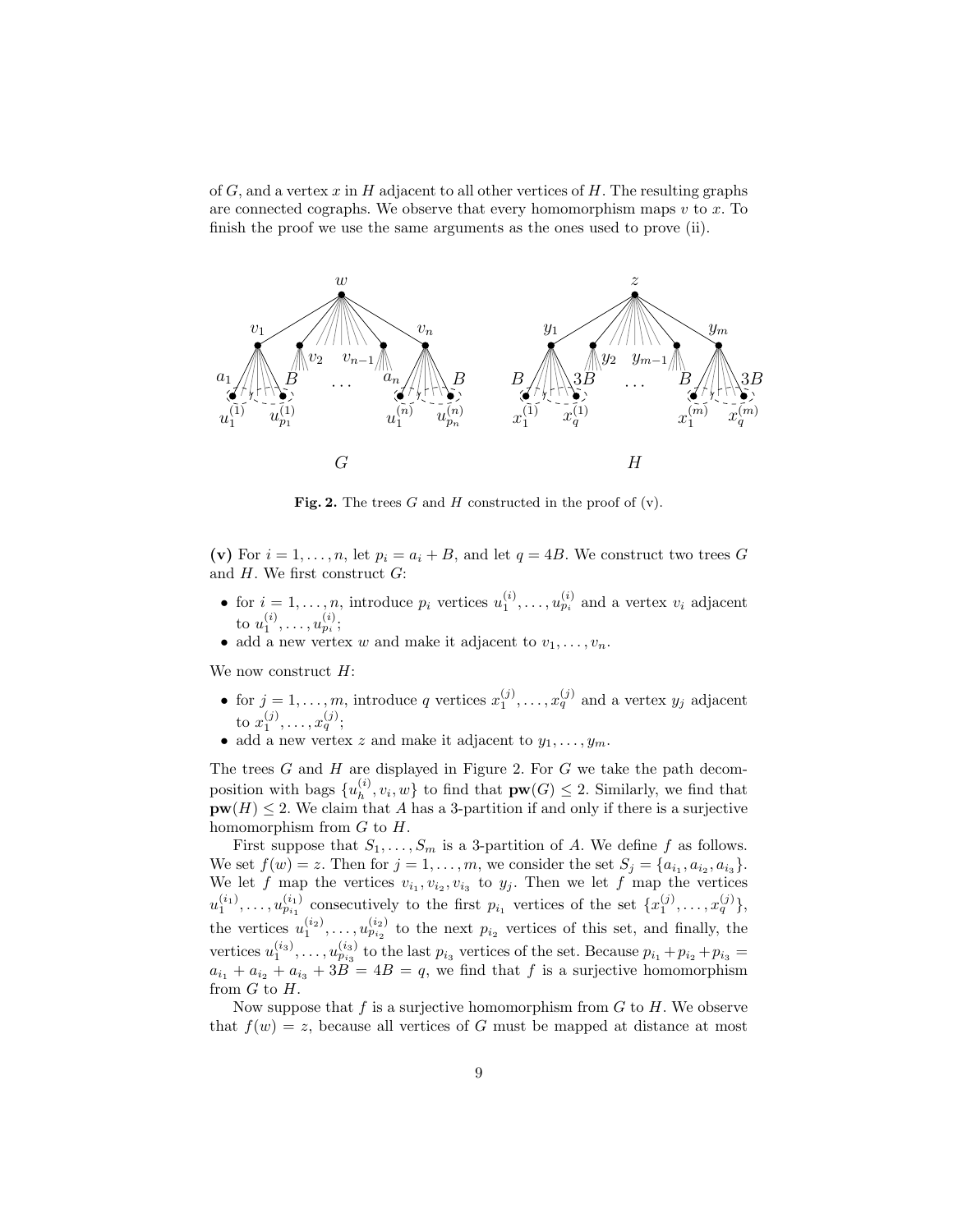of  $G$ , and a vertex x in H adjacent to all other vertices of H. The resulting graphs are connected cographs. We observe that every homomorphism maps  $v$  to  $x$ . To finish the proof we use the same arguments as the ones used to prove (ii).



Fig. 2. The trees  $G$  and  $H$  constructed in the proof of  $(v)$ .

(v) For  $i = 1, ..., n$ , let  $p_i = a_i + B$ , and let  $q = 4B$ . We construct two trees G and  $H$ . We first construct  $G$ :

- for  $i = 1, \ldots, n$ , introduce  $p_i$  vertices  $u_1^{(i)}, \ldots, u_{p_i}^{(i)}$  and a vertex  $v_i$  adjacent to  $u_1^{(i)}, \ldots, u_{p_i}^{(i)};$
- add a new vertex  $w$  and make it adjacent to  $v_1, \ldots, v_n$ .

We now construct  $H$ :

- for  $j = 1, \ldots, m$ , introduce q vertices  $x_1^{(j)}, \ldots, x_q^{(j)}$  and a vertex  $y_j$  adjacent to  $x_1^{(j)}, \ldots, x_q^{(j)};$
- add a new vertex z and make it adjacent to  $y_1, \ldots, y_m$ .

The trees  $G$  and  $H$  are displayed in Figure 2. For  $G$  we take the path decomposition with bags  $\{u_h^{(i)}\}$  $\{h_i^{(i)}, v_i, w\}$  to find that  $\mathbf{pw}(G) \leq 2$ . Similarly, we find that  $\text{pw}(H) \leq 2$ . We claim that A has a 3-partition if and only if there is a surjective homomorphism from  $G$  to  $H$ .

First suppose that  $S_1, \ldots, S_m$  is a 3-partition of A. We define f as follows. We set  $f(w) = z$ . Then for  $j = 1, \ldots, m$ , we consider the set  $S_j = \{a_{i_1}, a_{i_2}, a_{i_3}\}.$ We let f map the vertices  $v_{i_1}, v_{i_2}, v_{i_3}$  to  $y_j$ . Then we let f map the vertices  $u_1^{(i_1)}, \ldots, u_{p_{i_1}}^{(i_1)}$  consecutively to the first  $p_{i_1}$  vertices of the set  $\{x_1^{(j)}, \ldots, x_q^{(j)}\},$ the vertices  $u_1^{(i_2)}, \ldots, u_{p_{i_2}}^{(i_2)}$  to the next  $p_{i_2}$  vertices of this set, and finally, the vertices  $u_1^{(i_3)}, \ldots, u_{p_{i_3}}^{(i_3)}$  to the last  $p_{i_3}$  vertices of the set. Because  $p_{i_1} + p_{i_2} + p_{i_3} =$  $a_{i_1} + a_{i_2} + a_{i_3} + 3B = 4B = q$ , we find that f is a surjective homomorphism from G to H.

Now suppose that  $f$  is a surjective homomorphism from  $G$  to  $H$ . We observe that  $f(w) = z$ , because all vertices of G must be mapped at distance at most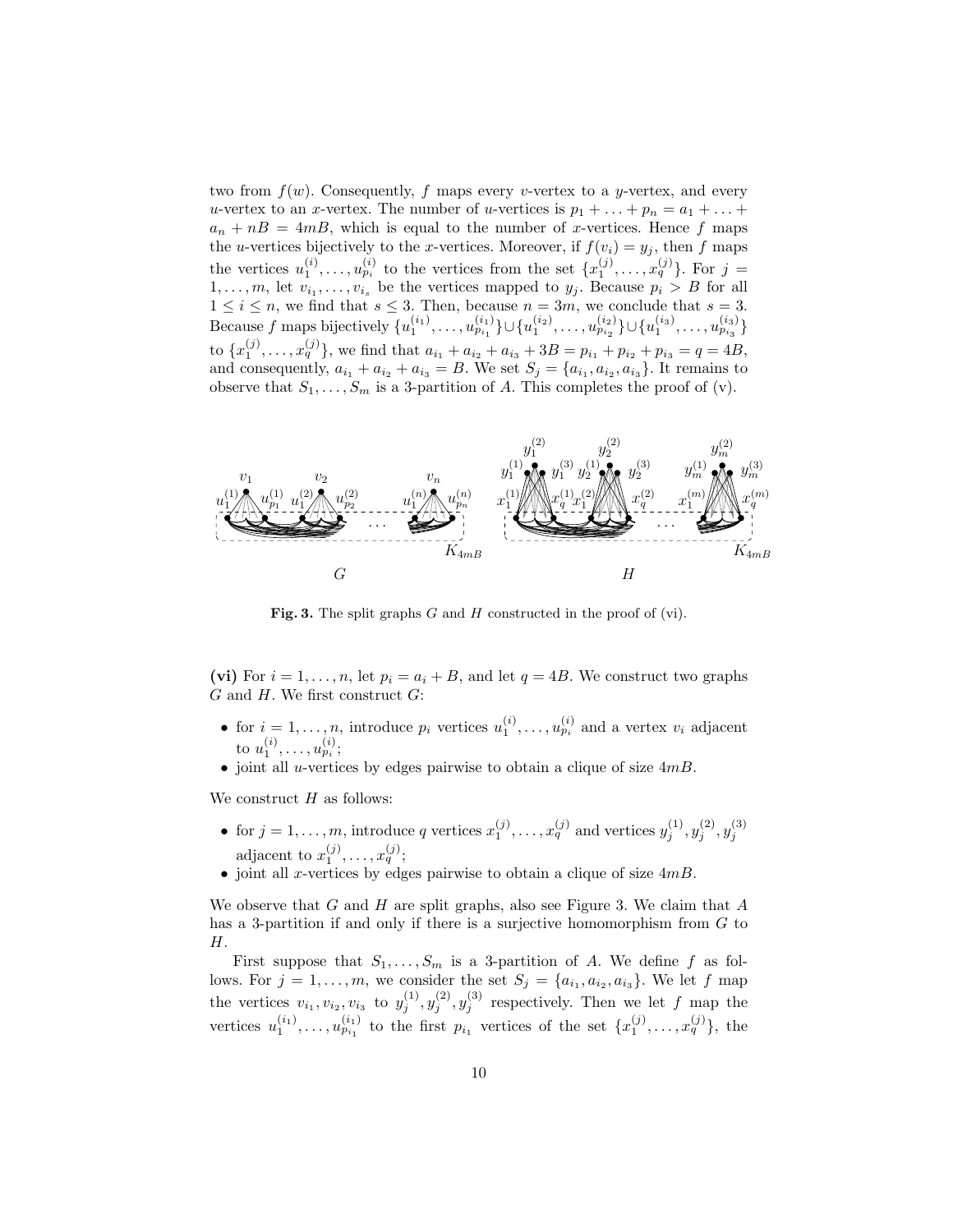two from  $f(w)$ . Consequently, f maps every v-vertex to a y-vertex, and every u-vertex to an x-vertex. The number of u-vertices is  $p_1 + \ldots + p_n = a_1 + \ldots +$  $a_n + nB = 4mB$ , which is equal to the number of x-vertices. Hence f maps the *u*-vertices bijectively to the *x*-vertices. Moreover, if  $f(v_i) = y_j$ , then f maps the vertices  $u_1^{(i)}, \ldots, u_{p_i}^{(i)}$  to the vertices from the set  $\{x_1^{(j)}, \ldots, x_q^{(j)}\}$ . For  $j =$  $1, \ldots, m$ , let  $v_{i_1}, \ldots, v_{i_s}$  be the vertices mapped to  $y_j$ . Because  $p_i > B$  for all  $1 \leq i \leq n$ , we find that  $s \leq 3$ . Then, because  $n = 3m$ , we conclude that  $s = 3$ . Because f maps bijectively  $\{u_1^{(i_1)}, \ldots, u_{p_{i_1}}^{(i_1)}\} \cup \{u_1^{(i_2)}, \ldots, u_{p_{i_2}}^{(i_2)}\} \cup \{u_1^{(i_3)}, \ldots, u_{p_{i_3}}^{(i_3)}\}$ to  ${x_1^{(j)}, \ldots, x_q^{(j)}}$ , we find that  $a_{i_1} + a_{i_2} + a_{i_3} + 3B = p_{i_1} + p_{i_2} + p_{i_3} = q = 4B$ , and consequently,  $a_{i_1} + a_{i_2} + a_{i_3} = B$ . We set  $S_j = \{a_{i_1}, a_{i_2}, a_{i_3}\}\.$  It remains to observe that  $S_1, \ldots, S_m$  is a 3-partition of A. This completes the proof of (v).



Fig. 3. The split graphs  $G$  and  $H$  constructed in the proof of (vi).

(vi) For  $i = 1, \ldots, n$ , let  $p_i = a_i + B$ , and let  $q = 4B$ . We construct two graphs  $G$  and  $H$ . We first construct  $G$ :

- for  $i = 1, \ldots, n$ , introduce  $p_i$  vertices  $u_1^{(i)}, \ldots, u_{p_i}^{(i)}$  and a vertex  $v_i$  adjacent to  $u_1^{(i)}, \ldots, u_{p_i}^{(i)};$
- joint all *u*-vertices by edges pairwise to obtain a clique of size  $4mB$ .

We construct  $H$  as follows:

- for  $j = 1, ..., m$ , introduce q vertices  $x_1^{(j)}, ..., x_q^{(j)}$  and vertices  $y_j^{(1)}, y_j^{(2)}, y_j^{(3)}$ adjacent to  $x_1^{(j)}, \ldots, x_q^{(j)}$ ;
- joint all x-vertices by edges pairwise to obtain a clique of size  $4mB$ .

We observe that  $G$  and  $H$  are split graphs, also see Figure 3. We claim that  $A$ has a 3-partition if and only if there is a surjective homomorphism from G to H.

First suppose that  $S_1, \ldots, S_m$  is a 3-partition of A. We define f as follows. For  $j = 1, \ldots, m$ , we consider the set  $S_j = \{a_{i_1}, a_{i_2}, a_{i_3}\}\.$  We let f map the vertices  $v_{i_1}, v_{i_2}, v_{i_3}$  to  $y_j^{(1)}, y_j^{(2)}, y_j^{(3)}$  respectively. Then we let f map the vertices  $u_1^{(i_1)}, \ldots, u_{p_{i_1}}^{(i_1)}$  to the first  $p_{i_1}$  vertices of the set  $\{x_1^{(j)}, \ldots, x_q^{(j)}\}$ , the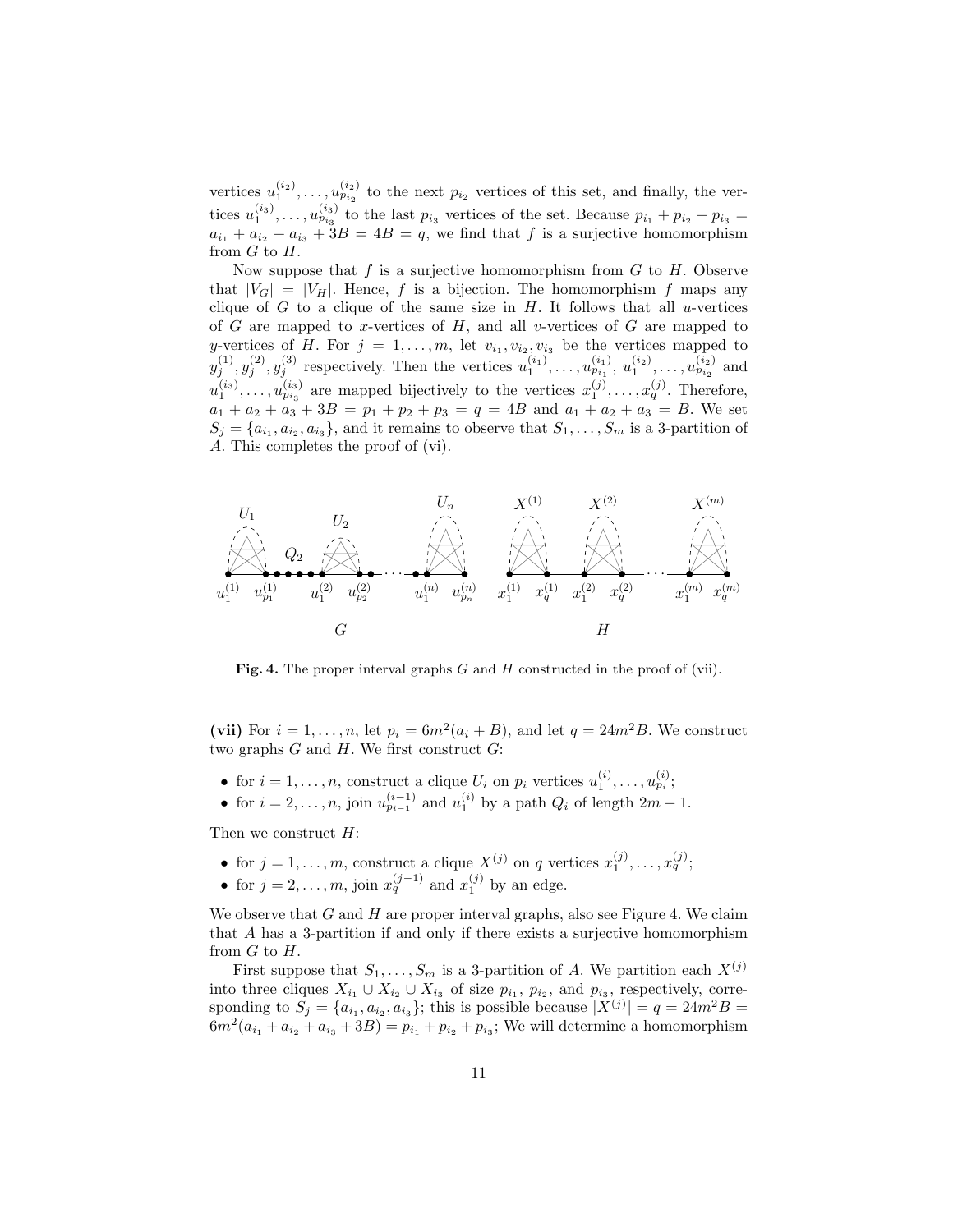vertices  $u_1^{(i_2)}, \ldots, u_{p_{i_2}}^{(i_2)}$  to the next  $p_{i_2}$  vertices of this set, and finally, the vertices  $u_1^{(i_3)}, \ldots, u_{p_{i_3}}^{(i_3)}$  to the last  $p_{i_3}$  vertices of the set. Because  $p_{i_1} + p_{i_2} + p_{i_3} =$  $a_{i_1} + a_{i_2} + a_{i_3} + 3B = 4B = q$ , we find that f is a surjective homomorphism from  $G$  to  $H$ .

Now suppose that f is a surjective homomorphism from  $G$  to  $H$ . Observe that  $|V_G| = |V_H|$ . Hence, f is a bijection. The homomorphism f maps any clique of G to a clique of the same size in  $H$ . It follows that all u-vertices of  $G$  are mapped to x-vertices of  $H$ , and all v-vertices of  $G$  are mapped to y-vertices of H. For  $j = 1, \ldots, m$ , let  $v_{i_1}, v_{i_2}, v_{i_3}$  be the vertices mapped to  $y_j^{(1)}, y_j^{(2)}, y_j^{(3)}$  respectively. Then the vertices  $u_1^{(i_1)}, \ldots, u_{p_{i_1}}^{(i_1)}, u_1^{(i_2)}, \ldots, u_{p_{i_2}}^{(i_2)}$  and  $u_1^{(i_3)}, \ldots, u_{p_{i_3}}^{(i_3)}$  are mapped bijectively to the vertices  $x_1^{(j)}, \ldots, x_q^{(j)}$ . Therefore,  $a_1 + a_2 + a_3 + 3B = p_1 + p_2 + p_3 = q = 4B$  and  $a_1 + a_2 + a_3 = B$ . We set  $S_j = \{a_{i_1}, a_{i_2}, a_{i_3}\}\$ , and it remains to observe that  $S_1, \ldots, S_m$  is a 3-partition of A. This completes the proof of (vi).



Fig. 4. The proper interval graphs  $G$  and  $H$  constructed in the proof of (vii).

(vii) For  $i = 1, ..., n$ , let  $p_i = 6m^2(a_i + B)$ , and let  $q = 24m^2B$ . We construct two graphs  $G$  and  $H$ . We first construct  $G$ :

- for  $i = 1, \ldots, n$ , construct a clique  $U_i$  on  $p_i$  vertices  $u_1^{(i)}, \ldots, u_{p_i}^{(i)}$ ;
- for  $i = 2, \ldots, n$ , join  $u_{p_{i-1}}^{(i-1)}$  and  $u_1^{(i)}$  by a path  $Q_i$  of length  $2m 1$ .

Then we construct H:

- for  $j = 1, ..., m$ , construct a clique  $X^{(j)}$  on q vertices  $x_1^{(j)}, ..., x_q^{(j)}$ ;
- for  $j = 2, \ldots, m$ , join  $x_q^{(j-1)}$  and  $x_1^{(j)}$  by an edge.

We observe that  $G$  and  $H$  are proper interval graphs, also see Figure 4. We claim that A has a 3-partition if and only if there exists a surjective homomorphism from  $G$  to  $H$ .

First suppose that  $S_1, \ldots, S_m$  is a 3-partition of A. We partition each  $X^{(j)}$ into three cliques  $X_{i_1} \cup X_{i_2} \cup X_{i_3}$  of size  $p_{i_1}, p_{i_2}$ , and  $p_{i_3}$ , respectively, corresponding to  $S_j = \{a_{i_1}, a_{i_2}, a_{i_3}\}$ ; this is possible because  $|X^{(j)}| = q = 24m^2B$  $6m^2(a_{i_1} + a_{i_2} + a_{i_3} + 3B) = p_{i_1} + p_{i_2} + p_{i_3}$ ; We will determine a homomorphism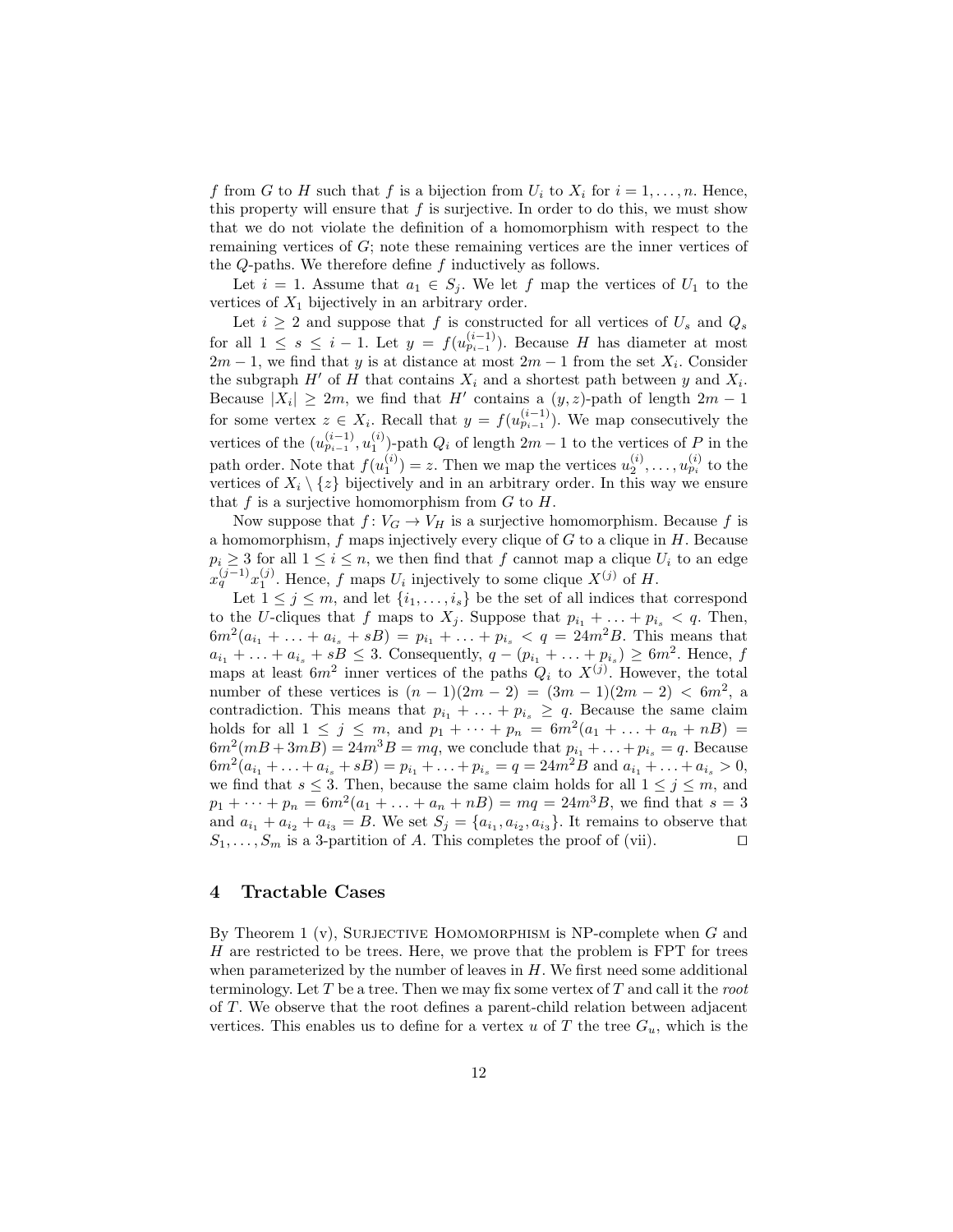f from G to H such that f is a bijection from  $U_i$  to  $X_i$  for  $i = 1, \ldots, n$ . Hence, this property will ensure that  $f$  is surjective. In order to do this, we must show that we do not violate the definition of a homomorphism with respect to the remaining vertices of G; note these remaining vertices are the inner vertices of the  $Q$ -paths. We therefore define  $f$  inductively as follows.

Let  $i = 1$ . Assume that  $a_1 \in S_j$ . We let f map the vertices of  $U_1$  to the vertices of  $X_1$  bijectively in an arbitrary order.

Let  $i \geq 2$  and suppose that f is constructed for all vertices of  $U_s$  and  $Q_s$ for all  $1 \leq s \leq i-1$ . Let  $y = f(u_{p_{i-1}}^{(i-1)})$ . Because H has diameter at most  $2m-1$ , we find that y is at distance at most  $2m-1$  from the set  $X_i$ . Consider the subgraph  $H'$  of H that contains  $X_i$  and a shortest path between y and  $X_i$ . Because  $|X_i| \geq 2m$ , we find that H' contains a  $(y, z)$ -path of length  $2m - 1$ for some vertex  $z \in X_i$ . Recall that  $y = f(u_{p_{i-1}}^{(i-1)})$ . We map consecutively the vertices of the  $(u_{p_{i-1}}^{(i-1)}, u_1^{(i)})$ -path  $Q_i$  of length  $2m-1$  to the vertices of P in the path order. Note that  $f(u_1^{(i)}) = z$ . Then we map the vertices  $u_2^{(i)}, \ldots, u_{p_i}^{(i)}$  to the vertices of  $X_i \setminus \{z\}$  bijectively and in an arbitrary order. In this way we ensure that  $f$  is a surjective homomorphism from  $G$  to  $H$ .

Now suppose that  $f: V_G \to V_H$  is a surjective homomorphism. Because f is a homomorphism,  $f$  maps injectively every clique of  $G$  to a clique in  $H$ . Because  $p_i \geq 3$  for all  $1 \leq i \leq n$ , we then find that f cannot map a clique  $U_i$  to an edge  $x_q^{(j-1)}x_1^{(j)}$ . Hence, f maps  $U_i$  injectively to some clique  $X^{(j)}$  of H.

Let  $1 \leq j \leq m$ , and let  $\{i_1, \ldots, i_s\}$  be the set of all indices that correspond to the U-cliques that f maps to  $X_i$ . Suppose that  $p_{i_1} + \ldots + p_{i_s} < q$ . Then,  $6m^2(a_{i_1} + \ldots + a_{i_s} + sB) = p_{i_1} + \ldots + p_{i_s} < q = 24m^2B$ . This means that  $a_{i_1} + \ldots + a_{i_s} + sB \leq 3$ . Consequently,  $q - (p_{i_1} + \ldots + p_{i_s}) \geq 6m^2$ . Hence, f maps at least  $6m^2$  inner vertices of the paths  $Q_i$  to  $X^{(j)}$ . However, the total number of these vertices is  $(n-1)(2m-2) = (3m-1)(2m-2) < 6m^2$ , a contradiction. This means that  $p_{i_1} + \ldots + p_{i_s} \geq q$ . Because the same claim holds for all  $1 \leq j \leq m$ , and  $p_1 + \cdots + p_n = 6m^2(a_1 + \ldots + a_n + nB) =$  $6m^2(mB + 3mB) = 24m^3B = mq$ , we conclude that  $p_{i_1} + ... + p_{i_s} = q$ . Because  $6m^2(a_{i_1} + \ldots + a_{i_s} + sB) = p_{i_1} + \ldots + p_{i_s} = q = 24m^2B$  and  $a_{i_1} + \ldots + a_{i_s} > 0$ , we find that  $s \leq 3$ . Then, because the same claim holds for all  $1 \leq j \leq m$ , and  $p_1 + \cdots + p_n = 6m^2(a_1 + \ldots + a_n + nB) = mq = 24m^3B$ , we find that  $s = 3$ and  $a_{i_1} + a_{i_2} + a_{i_3} = B$ . We set  $S_j = \{a_{i_1}, a_{i_2}, a_{i_3}\}\$ . It remains to observe that  $S_1, \ldots, S_m$  is a 3-partition of A. This completes the proof of (vii).

## 4 Tractable Cases

By Theorem 1 (v), SURJECTIVE HOMOMORPHISM is NP-complete when  $G$  and H are restricted to be trees. Here, we prove that the problem is FPT for trees when parameterized by the number of leaves in  $H$ . We first need some additional terminology. Let T be a tree. Then we may fix some vertex of T and call it the root of T. We observe that the root defines a parent-child relation between adjacent vertices. This enables us to define for a vertex u of T the tree  $G_u$ , which is the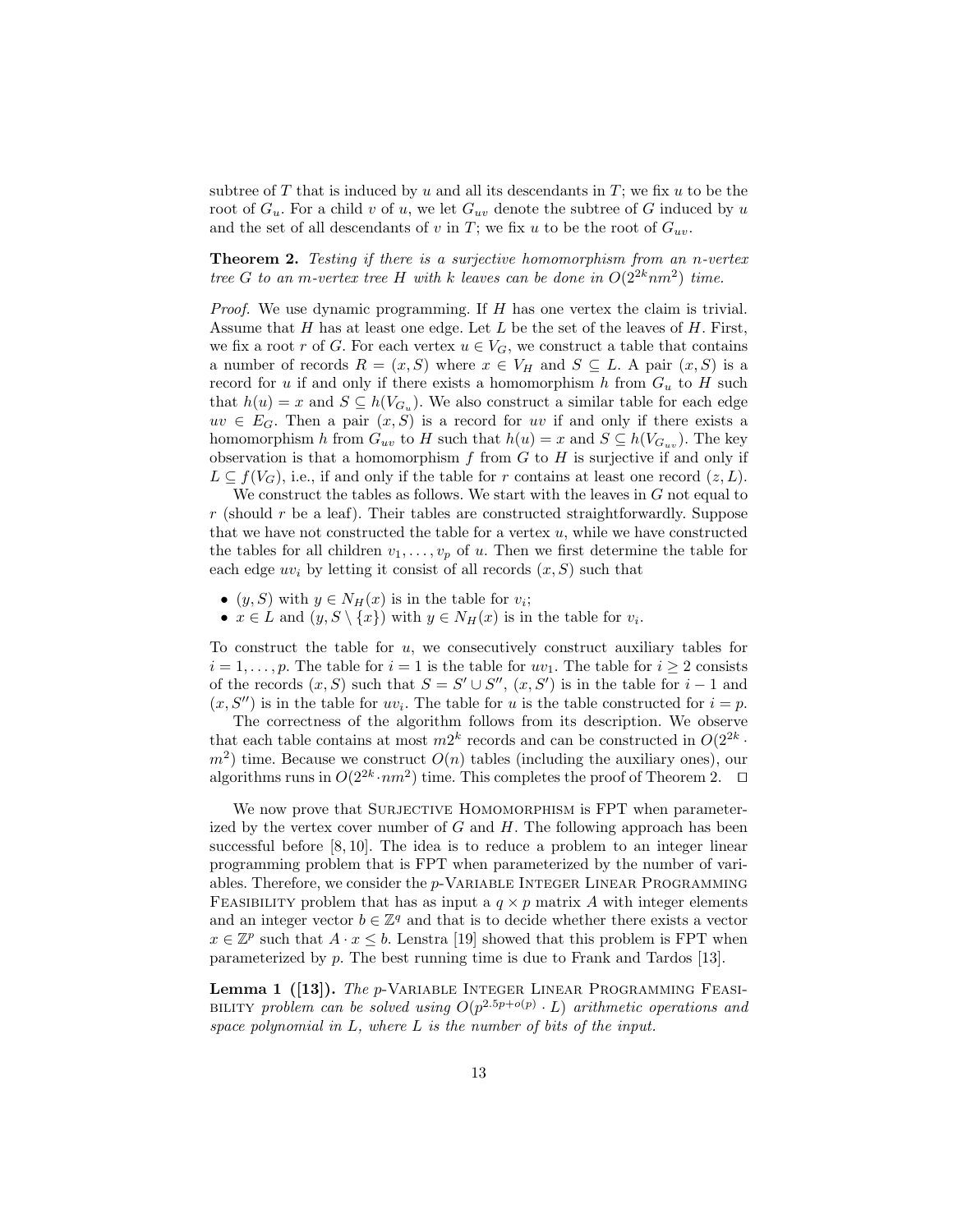subtree of T that is induced by u and all its descendants in  $T$ ; we fix u to be the root of  $G_u$ . For a child v of u, we let  $G_{uv}$  denote the subtree of G induced by u and the set of all descendants of v in T; we fix u to be the root of  $G_{uv}$ .

Theorem 2. Testing if there is a surjective homomorphism from an n-vertex tree G to an m-vertex tree H with k leaves can be done in  $O(2^{2k}nm^2)$  time.

Proof. We use dynamic programming. If H has one vertex the claim is trivial. Assume that H has at least one edge. Let L be the set of the leaves of H. First, we fix a root r of G. For each vertex  $u \in V_G$ , we construct a table that contains a number of records  $R = (x, S)$  where  $x \in V_H$  and  $S \subseteq L$ . A pair  $(x, S)$  is a record for u if and only if there exists a homomorphism  $h$  from  $G_u$  to  $H$  such that  $h(u) = x$  and  $S \subseteq h(V_{G_u})$ . We also construct a similar table for each edge  $uv \in E_G$ . Then a pair  $(x, S)$  is a record for uv if and only if there exists a homomorphism h from  $G_{uv}$  to H such that  $h(u) = x$  and  $S \subseteq h(V_{G_{uv}})$ . The key observation is that a homomorphism f from  $G$  to  $H$  is surjective if and only if  $L \subseteq f(V_G)$ , i.e., if and only if the table for r contains at least one record  $(z, L)$ .

We construct the tables as follows. We start with the leaves in  $G$  not equal to  $r$  (should r be a leaf). Their tables are constructed straightforwardly. Suppose that we have not constructed the table for a vertex  $u$ , while we have constructed the tables for all children  $v_1, \ldots, v_p$  of u. Then we first determine the table for each edge  $uv_i$  by letting it consist of all records  $(x, S)$  such that

- $(y, S)$  with  $y \in N_H(x)$  is in the table for  $v_i$ ;
- $x \in L$  and  $(y, S \setminus \{x\})$  with  $y \in N_H(x)$  is in the table for  $v_i$ .

To construct the table for  $u$ , we consecutively construct auxiliary tables for  $i = 1, \ldots, p$ . The table for  $i = 1$  is the table for  $uv_1$ . The table for  $i \geq 2$  consists of the records  $(x, S)$  such that  $S = S' \cup S''$ ,  $(x, S')$  is in the table for  $i - 1$  and  $(x, S'')$  is in the table for  $uv_i$ . The table for u is the table constructed for  $i = p$ .

The correctness of the algorithm follows from its description. We observe that each table contains at most  $m2^k$  records and can be constructed in  $O(2^{2k} \cdot$  $m<sup>2</sup>$ ) time. Because we construct  $O(n)$  tables (including the auxiliary ones), our algorithms runs in  $O(2^{2k} \cdot nm^2)$  time. This completes the proof of Theorem 2.  $\Box$ 

We now prove that SURJECTIVE HOMOMORPHISM is FPT when parameterized by the vertex cover number of  $G$  and  $H$ . The following approach has been successful before [8, 10]. The idea is to reduce a problem to an integer linear programming problem that is FPT when parameterized by the number of variables. Therefore, we consider the p-Variable Integer Linear Programming FEASIBILITY problem that has as input a  $q \times p$  matrix A with integer elements and an integer vector  $b \in \mathbb{Z}^q$  and that is to decide whether there exists a vector  $x \in \mathbb{Z}^p$  such that  $A \cdot x \leq b$ . Lenstra [19] showed that this problem is FPT when parameterized by p. The best running time is due to Frank and Tardos [13].

Lemma 1 ([13]). The p-VARIABLE INTEGER LINEAR PROGRAMMING FEASI-BILITY problem can be solved using  $O(p^{2.5p+o(p)} \cdot L)$  arithmetic operations and space polynomial in L, where L is the number of bits of the input.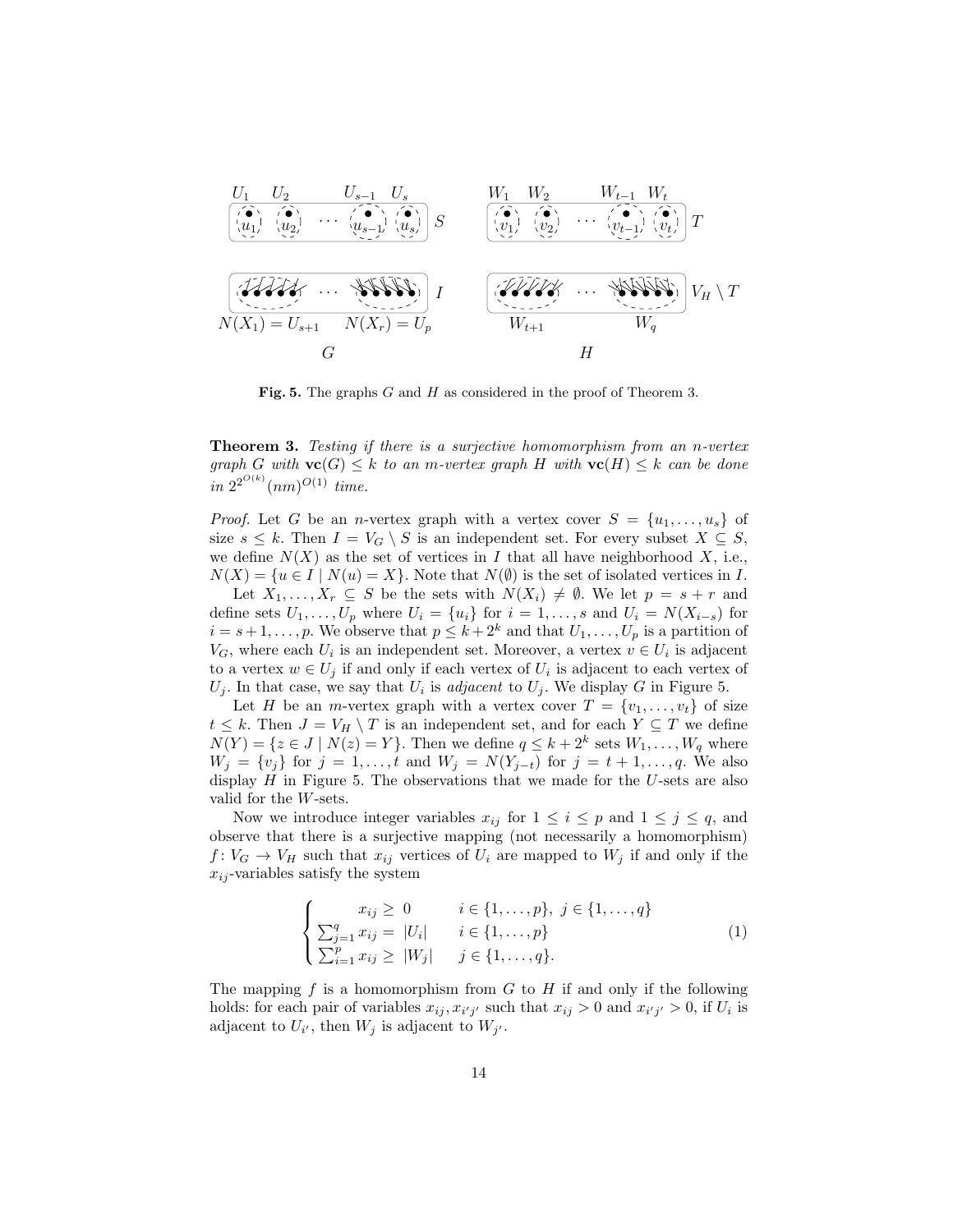

Fig. 5. The graphs  $G$  and  $H$  as considered in the proof of Theorem 3.

**Theorem 3.** Testing if there is a surjective homomorphism from an n-vertex graph G with  $\mathbf{vc}(G) \leq k$  to an m-vertex graph H with  $\mathbf{vc}(H) \leq k$  can be done in  $2^{2^{O(k)}}(nm)^{O(1)}$  time.

*Proof.* Let G be an *n*-vertex graph with a vertex cover  $S = \{u_1, \ldots, u_s\}$  of size  $s \leq k$ . Then  $I = V_G \setminus S$  is an independent set. For every subset  $X \subseteq S$ , we define  $N(X)$  as the set of vertices in I that all have neighborhood X, i.e.,  $N(X) = \{u \in I \mid N(u) = X\}.$  Note that  $N(\emptyset)$  is the set of isolated vertices in I.

Let  $X_1, \ldots, X_r \subseteq S$  be the sets with  $N(X_i) \neq \emptyset$ . We let  $p = s + r$  and define sets  $U_1, \ldots, U_p$  where  $U_i = \{u_i\}$  for  $i = 1, \ldots, s$  and  $U_i = N(X_{i-s})$  for  $i = s + 1, \ldots, p$ . We observe that  $p \leq k + 2^k$  and that  $U_1, \ldots, U_p$  is a partition of  $V_G$ , where each  $U_i$  is an independent set. Moreover, a vertex  $v \in U_i$  is adjacent to a vertex  $w \in U_j$  if and only if each vertex of  $U_i$  is adjacent to each vertex of  $U_j$ . In that case, we say that  $U_i$  is *adjacent* to  $U_j$ . We display G in Figure 5.

Let H be an m-vertex graph with a vertex cover  $T = \{v_1, \ldots, v_t\}$  of size  $t \leq k$ . Then  $J = V_H \setminus T$  is an independent set, and for each  $Y \subseteq T$  we define  $N(Y) = \{z \in J \mid N(z) = Y\}$ . Then we define  $q \le k + 2^k$  sets  $W_1, \ldots, W_q$  where  $W_j = \{v_j\}$  for  $j = 1, \ldots, t$  and  $W_j = N(Y_{j-t})$  for  $j = t+1, \ldots, q$ . We also display  $H$  in Figure 5. The observations that we made for the U-sets are also valid for the W-sets.

Now we introduce integer variables  $x_{ij}$  for  $1 \leq i \leq p$  and  $1 \leq j \leq q$ , and observe that there is a surjective mapping (not necessarily a homomorphism)  $f: V_G \to V_H$  such that  $x_{ij}$  vertices of  $U_i$  are mapped to  $W_j$  if and only if the  $x_{ij}$ -variables satisfy the system

$$
\begin{cases}\n x_{ij} \geq 0 & i \in \{1, ..., p\}, \ j \in \{1, ..., q\} \\
\sum_{j=1}^{q} x_{ij} = |U_i| & i \in \{1, ..., p\} \\
\sum_{i=1}^{p} x_{ij} \geq |W_j| & j \in \{1, ..., q\}.\n\end{cases}
$$
\n(1)

The mapping f is a homomorphism from  $G$  to  $H$  if and only if the following holds: for each pair of variables  $x_{ij}$ ,  $x_{i'j'}$  such that  $x_{ij} > 0$  and  $x_{i'j'} > 0$ , if  $U_i$  is adjacent to  $U_{i'}$ , then  $W_j$  is adjacent to  $W_{j'}$ .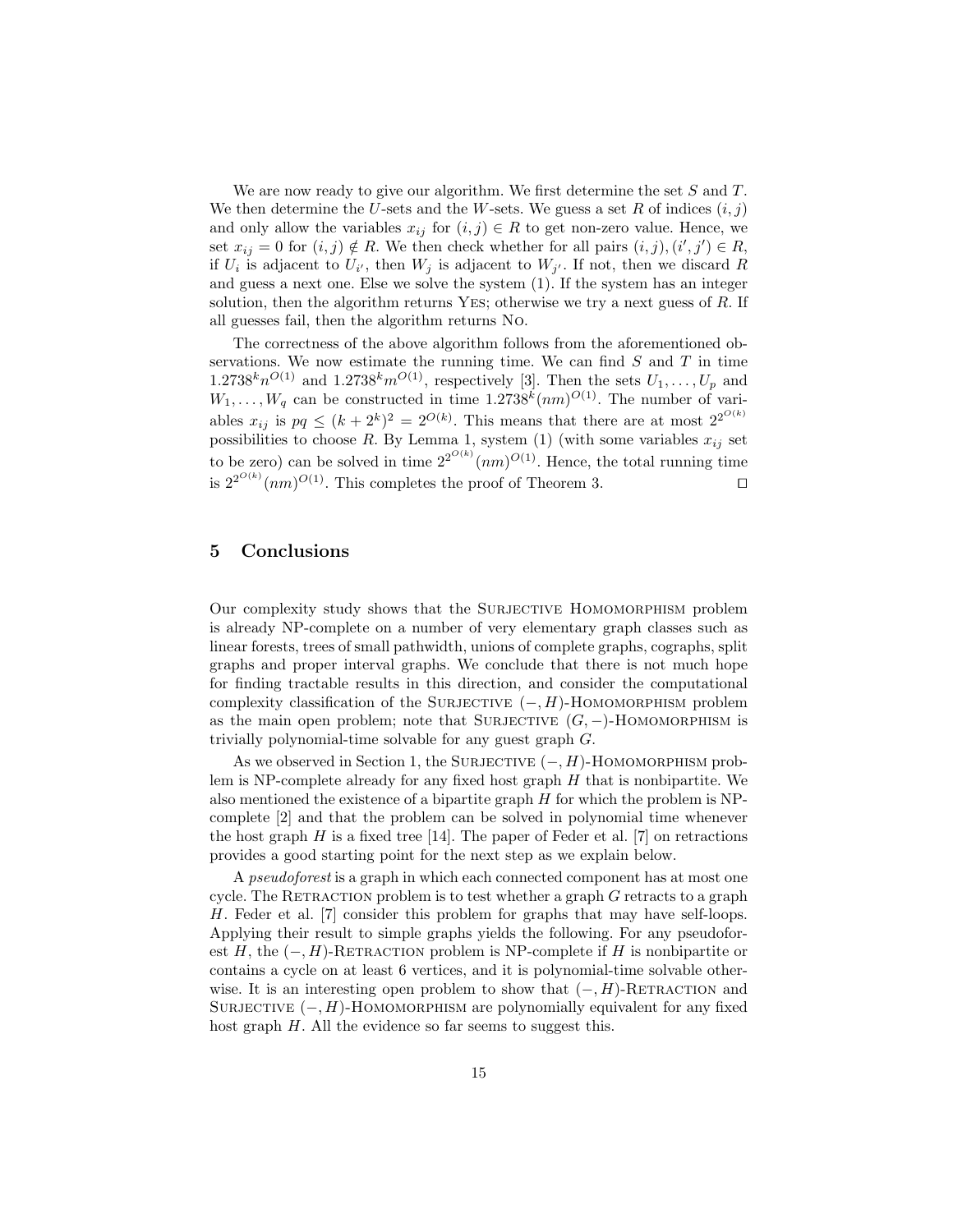We are now ready to give our algorithm. We first determine the set  $S$  and  $T$ . We then determine the U-sets and the W-sets. We guess a set R of indices  $(i, j)$ and only allow the variables  $x_{ij}$  for  $(i, j) \in R$  to get non-zero value. Hence, we set  $x_{ij} = 0$  for  $(i, j) \notin R$ . We then check whether for all pairs  $(i, j), (i', j') \in R$ , if  $U_i$  is adjacent to  $U_{i'}$ , then  $W_j$  is adjacent to  $W_{j'}$ . If not, then we discard R and guess a next one. Else we solve the system (1). If the system has an integer solution, then the algorithm returns Yes; otherwise we try a next guess of R. If all guesses fail, then the algorithm returns No.

The correctness of the above algorithm follows from the aforementioned observations. We now estimate the running time. We can find  $S$  and  $T$  in time  $1.2738<sup>k</sup>n<sup>O(1)</sup>$  and  $1.2738<sup>k</sup>m<sup>O(1)</sup>$ , respectively [3]. Then the sets  $U_1, \ldots, U_p$  and  $W_1, \ldots, W_q$  can be constructed in time 1.2738<sup>k</sup> $(nm)^{O(1)}$ . The number of variables  $x_{ij}$  is  $pq \leq (k+2^k)^2 = 2^{O(k)}$ . This means that there are at most  $2^{2^{O(k)}}$ possibilities to choose R. By Lemma 1, system (1) (with some variables  $x_{ij}$  set to be zero) can be solved in time  $2^{2^{O(k)}}(nm)^{O(1)}$ . Hence, the total running time is  $2^{2^{O(k)}}(nm)^{O(1)}$ . This completes the proof of Theorem 3.

# 5 Conclusions

Our complexity study shows that the Surjective Homomorphism problem is already NP-complete on a number of very elementary graph classes such as linear forests, trees of small pathwidth, unions of complete graphs, cographs, split graphs and proper interval graphs. We conclude that there is not much hope for finding tractable results in this direction, and consider the computational complexity classification of the SURJECTIVE  $(-, H)$ -HOMOMORPHISM problem as the main open problem; note that SURJECTIVE  $(G, -)$ -HOMOMORPHISM is trivially polynomial-time solvable for any guest graph G.

As we observed in Section 1, the SURJECTIVE  $(-, H)$ -HOMOMORPHISM problem is NP-complete already for any fixed host graph  $H$  that is nonbipartite. We also mentioned the existence of a bipartite graph  $H$  for which the problem is NPcomplete [2] and that the problem can be solved in polynomial time whenever the host graph  $H$  is a fixed tree [14]. The paper of Feder et al. [7] on retractions provides a good starting point for the next step as we explain below.

A pseudoforest is a graph in which each connected component has at most one cycle. The RETRACTION problem is to test whether a graph  $G$  retracts to a graph H. Feder et al. [7] consider this problem for graphs that may have self-loops. Applying their result to simple graphs yields the following. For any pseudoforest H, the  $(-, H)$ -RETRACTION problem is NP-complete if H is nonbipartite or contains a cycle on at least 6 vertices, and it is polynomial-time solvable otherwise. It is an interesting open problem to show that  $(-, H)$ -RETRACTION and SURJECTIVE  $(-, H)$ -HOMOMORPHISM are polynomially equivalent for any fixed host graph H. All the evidence so far seems to suggest this.